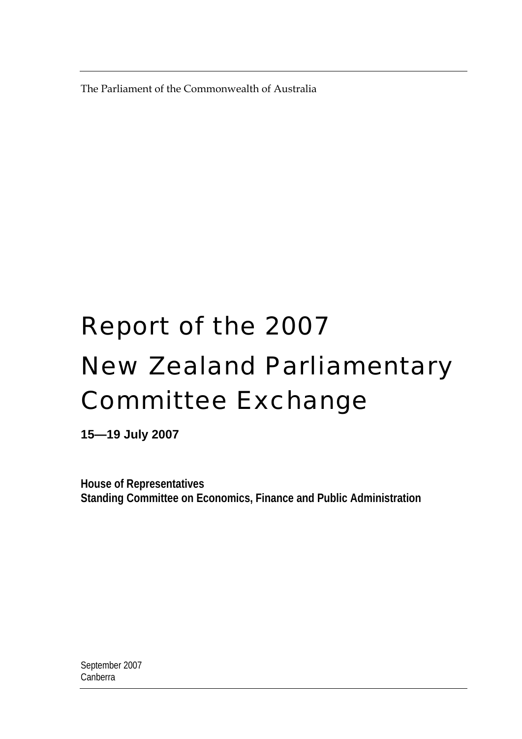The Parliament of the Commonwealth of Australia

# Report of the 2007 New Zealand Parliamentary Committee Exchange

**15—19 July 2007** 

**House of Representatives Standing Committee on Economics, Finance and Public Administration**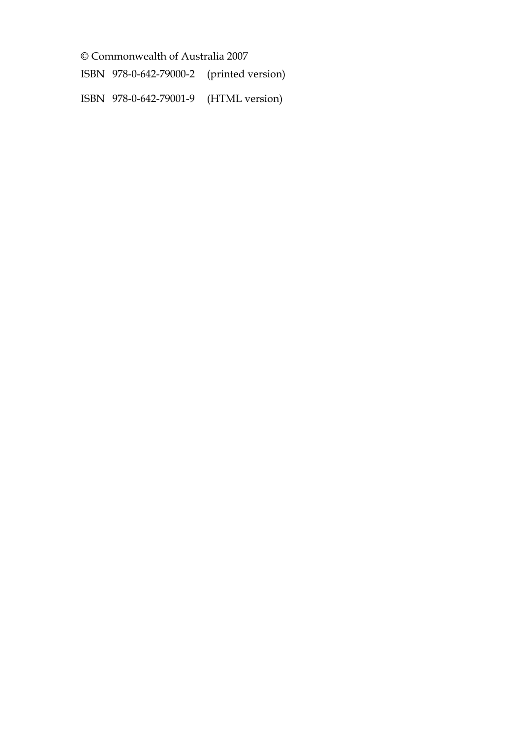© Commonwealth of Australia 2007

ISBN 978-0-642-79000-2 (printed version)

ISBN 978-0-642-79001-9 (HTML version)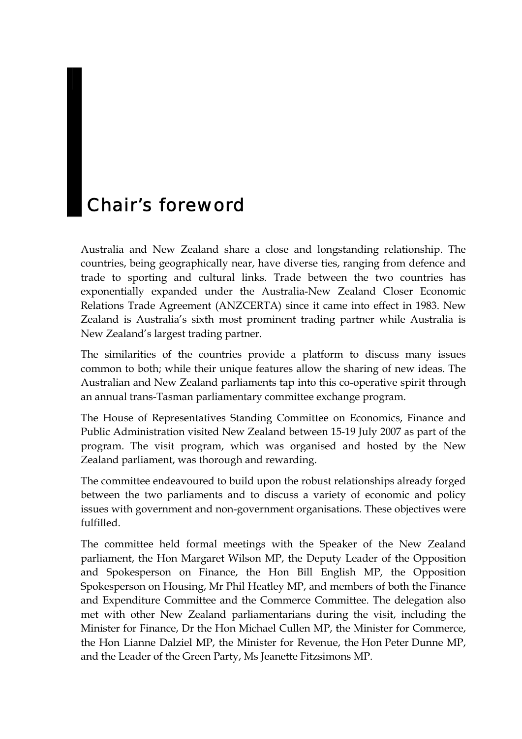# Chair's foreword

Australia and New Zealand share a close and longstanding relationship. The countries, being geographically near, have diverse ties, ranging from defence and trade to sporting and cultural links. Trade between the two countries has exponentially expanded under the Australia-New Zealand Closer Economic Relations Trade Agreement (ANZCERTA) since it came into effect in 1983. New Zealand is Australia's sixth most prominent trading partner while Australia is New Zealand's largest trading partner.

The similarities of the countries provide a platform to discuss many issues common to both; while their unique features allow the sharing of new ideas. The Australian and New Zealand parliaments tap into this co-operative spirit through an annual trans-Tasman parliamentary committee exchange program.

The House of Representatives Standing Committee on Economics, Finance and Public Administration visited New Zealand between 15-19 July 2007 as part of the program. The visit program, which was organised and hosted by the New Zealand parliament, was thorough and rewarding.

The committee endeavoured to build upon the robust relationships already forged between the two parliaments and to discuss a variety of economic and policy issues with government and non-government organisations. These objectives were fulfilled.

The committee held formal meetings with the Speaker of the New Zealand parliament, the Hon Margaret Wilson MP, the Deputy Leader of the Opposition and Spokesperson on Finance, the Hon Bill English MP, the Opposition Spokesperson on Housing, Mr Phil Heatley MP, and members of both the Finance and Expenditure Committee and the Commerce Committee. The delegation also met with other New Zealand parliamentarians during the visit, including the Minister for Finance, Dr the Hon Michael Cullen MP, the Minister for Commerce, the Hon Lianne Dalziel MP, the Minister for Revenue, the Hon Peter Dunne MP, and the Leader of the Green Party, Ms Jeanette Fitzsimons MP.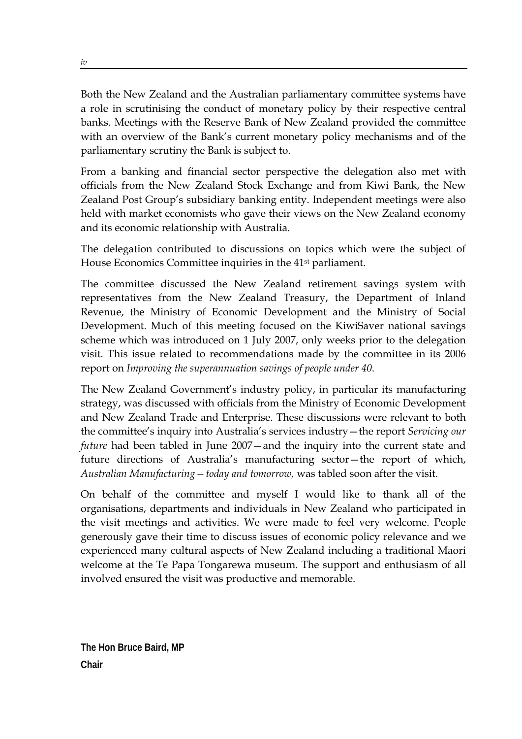Both the New Zealand and the Australian parliamentary committee systems have a role in scrutinising the conduct of monetary policy by their respective central banks. Meetings with the Reserve Bank of New Zealand provided the committee with an overview of the Bank's current monetary policy mechanisms and of the parliamentary scrutiny the Bank is subject to.

From a banking and financial sector perspective the delegation also met with officials from the New Zealand Stock Exchange and from Kiwi Bank, the New Zealand Post Group's subsidiary banking entity. Independent meetings were also held with market economists who gave their views on the New Zealand economy and its economic relationship with Australia.

The delegation contributed to discussions on topics which were the subject of House Economics Committee inquiries in the 41st parliament.

The committee discussed the New Zealand retirement savings system with representatives from the New Zealand Treasury, the Department of Inland Revenue, the Ministry of Economic Development and the Ministry of Social Development. Much of this meeting focused on the KiwiSaver national savings scheme which was introduced on 1 July 2007, only weeks prior to the delegation visit. This issue related to recommendations made by the committee in its 2006 report on *Improving the superannuation savings of people under 40*.

The New Zealand Government's industry policy, in particular its manufacturing strategy, was discussed with officials from the Ministry of Economic Development and New Zealand Trade and Enterprise. These discussions were relevant to both the committee's inquiry into Australia's services industry—the report *Servicing our future* had been tabled in June 2007—and the inquiry into the current state and future directions of Australia's manufacturing sector—the report of which, *Australian Manufacturing—today and tomorrow,* was tabled soon after the visit.

On behalf of the committee and myself I would like to thank all of the organisations, departments and individuals in New Zealand who participated in the visit meetings and activities. We were made to feel very welcome. People generously gave their time to discuss issues of economic policy relevance and we experienced many cultural aspects of New Zealand including a traditional Maori welcome at the Te Papa Tongarewa museum. The support and enthusiasm of all involved ensured the visit was productive and memorable.

**The Hon Bruce Baird, MP Chair**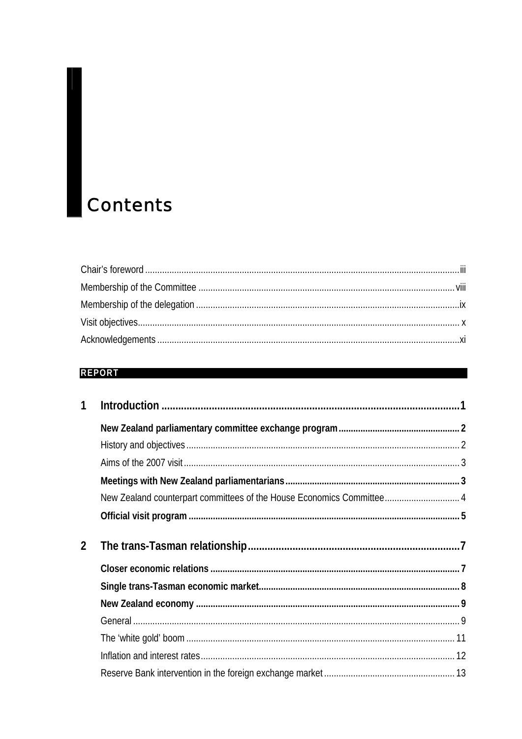# **Contents**

#### **REPORT**

|               | New Zealand counterpart committees of the House Economics Committee 4 |  |
|---------------|-----------------------------------------------------------------------|--|
|               |                                                                       |  |
| $\mathcal{P}$ |                                                                       |  |
|               |                                                                       |  |
|               |                                                                       |  |
|               |                                                                       |  |
|               |                                                                       |  |
|               |                                                                       |  |
|               |                                                                       |  |
|               |                                                                       |  |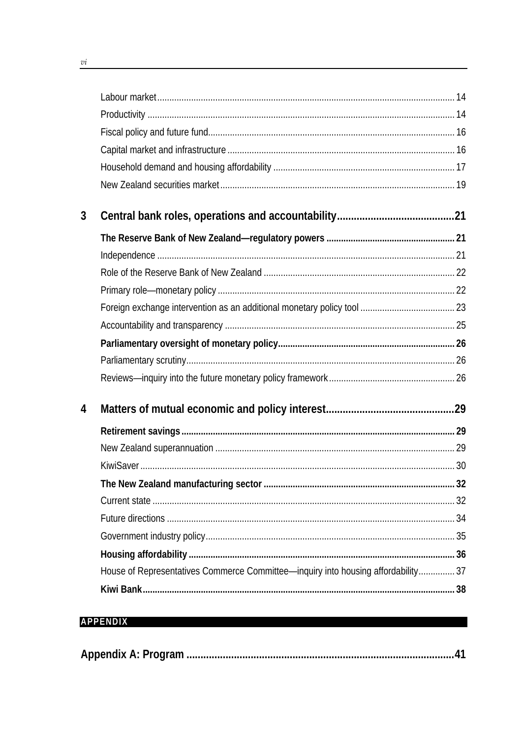| 3 |                                                                                   |  |
|---|-----------------------------------------------------------------------------------|--|
|   |                                                                                   |  |
|   |                                                                                   |  |
|   |                                                                                   |  |
|   |                                                                                   |  |
|   |                                                                                   |  |
|   |                                                                                   |  |
|   |                                                                                   |  |
|   |                                                                                   |  |
|   |                                                                                   |  |
| 4 |                                                                                   |  |
|   |                                                                                   |  |
|   |                                                                                   |  |
|   |                                                                                   |  |
|   |                                                                                   |  |
|   |                                                                                   |  |
|   |                                                                                   |  |
|   |                                                                                   |  |
|   |                                                                                   |  |
|   | House of Representatives Commerce Committee—inquiry into housing affordability 37 |  |
|   |                                                                                   |  |
|   |                                                                                   |  |

# **APPENDIX**

|--|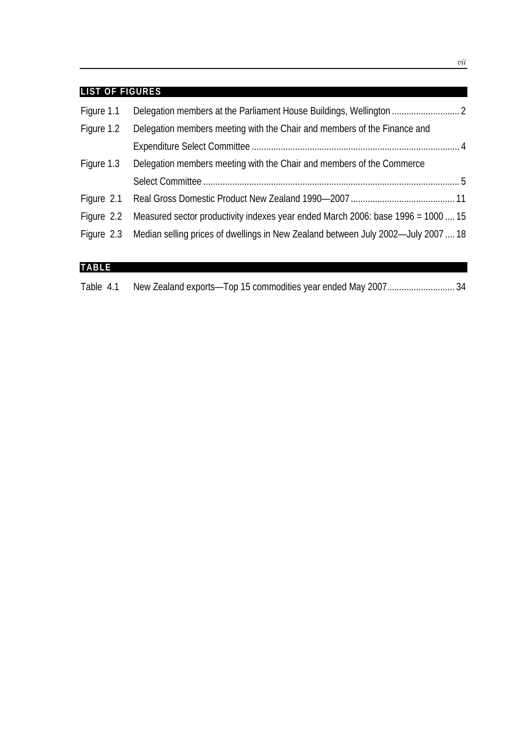#### **LIST OF FIGURES**

| Figure 1.1 |                                                                                              |  |
|------------|----------------------------------------------------------------------------------------------|--|
| Figure 1.2 | Delegation members meeting with the Chair and members of the Finance and                     |  |
|            |                                                                                              |  |
| Figure 1.3 | Delegation members meeting with the Chair and members of the Commerce                        |  |
|            |                                                                                              |  |
|            |                                                                                              |  |
|            | Figure 2.2 Measured sector productivity indexes year ended March 2006: base 1996 = 1000  15  |  |
|            | Figure 2.3 Median selling prices of dwellings in New Zealand between July 2002—July 2007  18 |  |
|            |                                                                                              |  |

# **TABLE**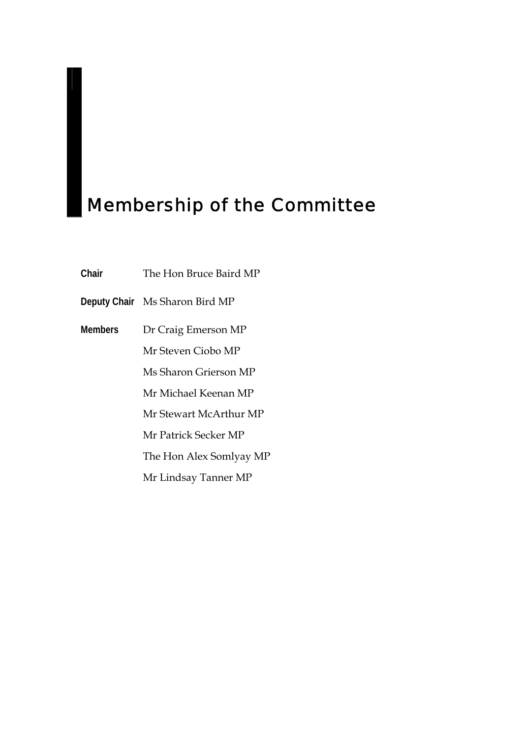# Membership of the Committee

- **Chair** The Hon Bruce Baird MP
- **Deputy Chair** Ms Sharon Bird MP
- **Members** Dr Craig Emerson MP
	- Mr Steven Ciobo MP
	- Ms Sharon Grierson MP
	- Mr Michael Keenan MP
	- Mr Stewart McArthur MP
	- Mr Patrick Secker MP
	- The Hon Alex Somlyay MP
	- Mr Lindsay Tanner MP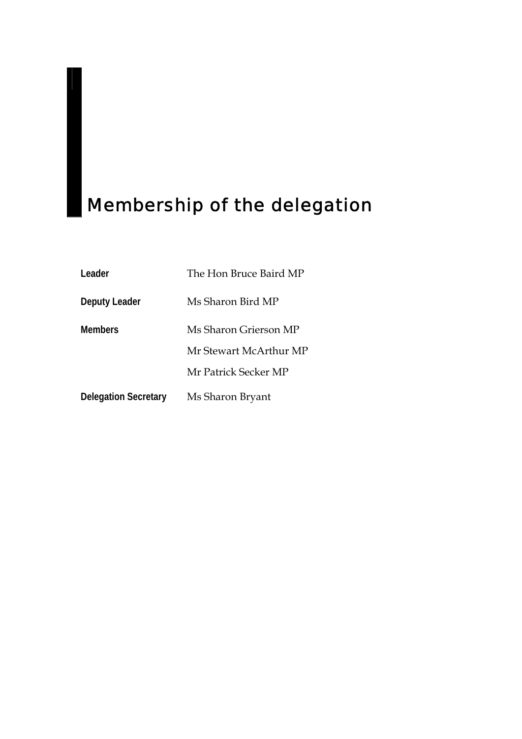# Membership of the delegation

| Leader                      | The Hon Bruce Baird MP |
|-----------------------------|------------------------|
| <b>Deputy Leader</b>        | Ms Sharon Bird MP      |
| <b>Members</b>              | Ms Sharon Grierson MP  |
|                             | Mr Stewart McArthur MP |
|                             | Mr Patrick Secker MP   |
| <b>Delegation Secretary</b> | Ms Sharon Bryant       |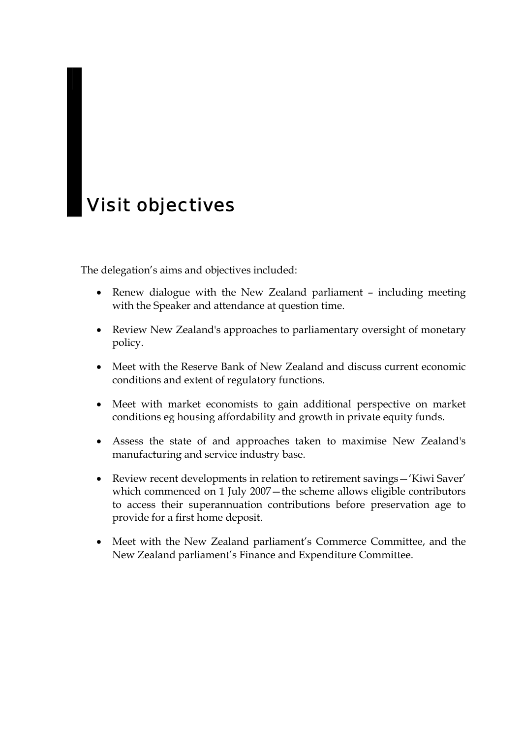# Visit objectives

The delegation's aims and objectives included:

- Renew dialogue with the New Zealand parliament including meeting with the Speaker and attendance at question time.
- Review New Zealand's approaches to parliamentary oversight of monetary policy.
- Meet with the Reserve Bank of New Zealand and discuss current economic conditions and extent of regulatory functions.
- Meet with market economists to gain additional perspective on market conditions eg housing affordability and growth in private equity funds.
- Assess the state of and approaches taken to maximise New Zealand's manufacturing and service industry base.
- Review recent developments in relation to retirement savings—'Kiwi Saver' which commenced on 1 July 2007—the scheme allows eligible contributors to access their superannuation contributions before preservation age to provide for a first home deposit.
- Meet with the New Zealand parliament's Commerce Committee, and the New Zealand parliament's Finance and Expenditure Committee.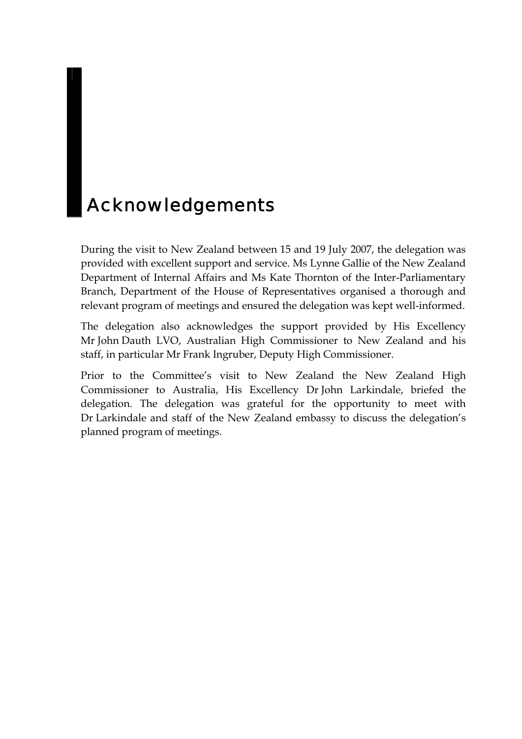# Acknowledgements

During the visit to New Zealand between 15 and 19 July 2007, the delegation was provided with excellent support and service. Ms Lynne Gallie of the New Zealand Department of Internal Affairs and Ms Kate Thornton of the Inter-Parliamentary Branch, Department of the House of Representatives organised a thorough and relevant program of meetings and ensured the delegation was kept well-informed.

The delegation also acknowledges the support provided by His Excellency Mr John Dauth LVO, Australian High Commissioner to New Zealand and his staff, in particular Mr Frank Ingruber, Deputy High Commissioner.

Prior to the Committee's visit to New Zealand the New Zealand High Commissioner to Australia, His Excellency Dr John Larkindale, briefed the delegation. The delegation was grateful for the opportunity to meet with Dr Larkindale and staff of the New Zealand embassy to discuss the delegation's planned program of meetings.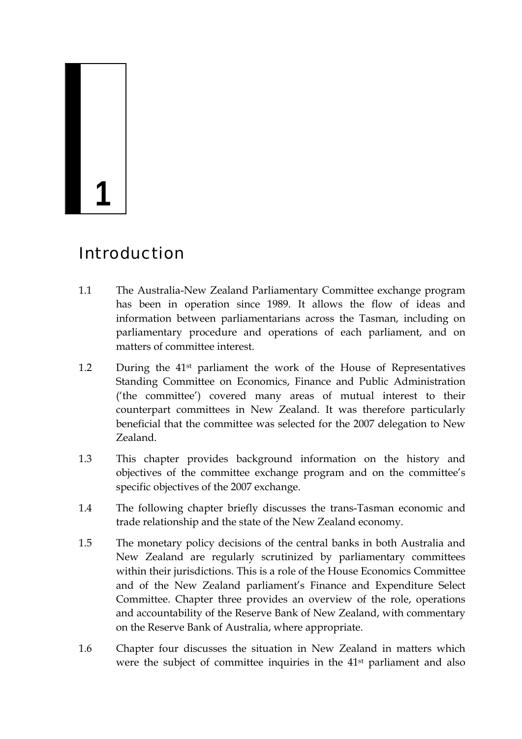# **1**

# Introduction

- 1.1 The Australia-New Zealand Parliamentary Committee exchange program has been in operation since 1989. It allows the flow of ideas and information between parliamentarians across the Tasman, including on parliamentary procedure and operations of each parliament, and on matters of committee interest.
- 1.2 During the 41st parliament the work of the House of Representatives Standing Committee on Economics, Finance and Public Administration ('the committee') covered many areas of mutual interest to their counterpart committees in New Zealand. It was therefore particularly beneficial that the committee was selected for the 2007 delegation to New Zealand.
- 1.3 This chapter provides background information on the history and objectives of the committee exchange program and on the committee's specific objectives of the 2007 exchange.
- 1.4 The following chapter briefly discusses the trans-Tasman economic and trade relationship and the state of the New Zealand economy.
- 1.5 The monetary policy decisions of the central banks in both Australia and New Zealand are regularly scrutinized by parliamentary committees within their jurisdictions. This is a role of the House Economics Committee and of the New Zealand parliament's Finance and Expenditure Select Committee. Chapter three provides an overview of the role, operations and accountability of the Reserve Bank of New Zealand, with commentary on the Reserve Bank of Australia, where appropriate.
- 1.6 Chapter four discusses the situation in New Zealand in matters which were the subject of committee inquiries in the 41st parliament and also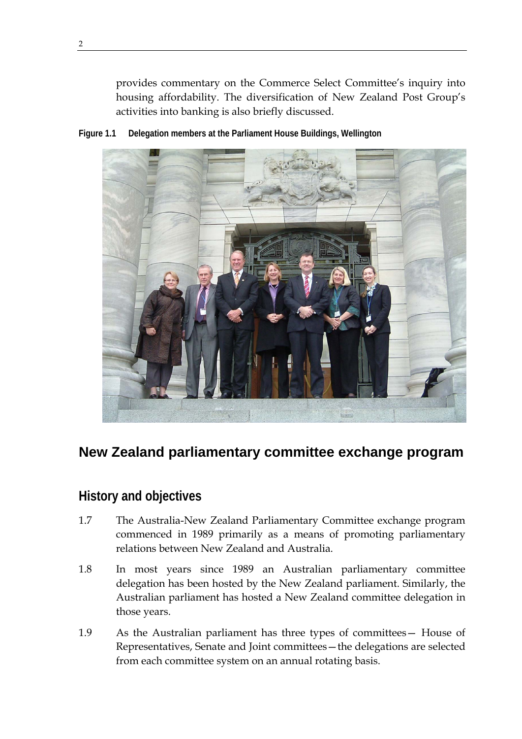provides commentary on the Commerce Select Committee's inquiry into housing affordability. The diversification of New Zealand Post Group's activities into banking is also briefly discussed.





# **New Zealand parliamentary committee exchange program**

# **History and objectives**

- 1.7 The Australia-New Zealand Parliamentary Committee exchange program commenced in 1989 primarily as a means of promoting parliamentary relations between New Zealand and Australia.
- 1.8 In most years since 1989 an Australian parliamentary committee delegation has been hosted by the New Zealand parliament. Similarly, the Australian parliament has hosted a New Zealand committee delegation in those years.
- 1.9 As the Australian parliament has three types of committees— House of Representatives, Senate and Joint committees—the delegations are selected from each committee system on an annual rotating basis.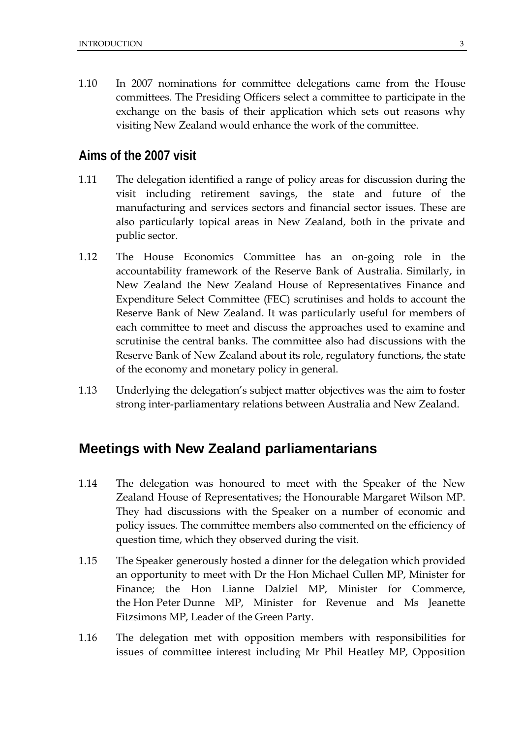1.10 In 2007 nominations for committee delegations came from the House committees. The Presiding Officers select a committee to participate in the exchange on the basis of their application which sets out reasons why visiting New Zealand would enhance the work of the committee.

#### **Aims of the 2007 visit**

- 1.11 The delegation identified a range of policy areas for discussion during the visit including retirement savings, the state and future of the manufacturing and services sectors and financial sector issues. These are also particularly topical areas in New Zealand, both in the private and public sector.
- 1.12 The House Economics Committee has an on-going role in the accountability framework of the Reserve Bank of Australia. Similarly, in New Zealand the New Zealand House of Representatives Finance and Expenditure Select Committee (FEC) scrutinises and holds to account the Reserve Bank of New Zealand. It was particularly useful for members of each committee to meet and discuss the approaches used to examine and scrutinise the central banks. The committee also had discussions with the Reserve Bank of New Zealand about its role, regulatory functions, the state of the economy and monetary policy in general.
- 1.13 Underlying the delegation's subject matter objectives was the aim to foster strong inter-parliamentary relations between Australia and New Zealand.

#### **Meetings with New Zealand parliamentarians**

- 1.14 The delegation was honoured to meet with the Speaker of the New Zealand House of Representatives; the Honourable Margaret Wilson MP. They had discussions with the Speaker on a number of economic and policy issues. The committee members also commented on the efficiency of question time, which they observed during the visit.
- 1.15 The Speaker generously hosted a dinner for the delegation which provided an opportunity to meet with Dr the Hon Michael Cullen MP, Minister for Finance; the Hon Lianne Dalziel MP, Minister for Commerce, the Hon Peter Dunne MP, Minister for Revenue and Ms Jeanette Fitzsimons MP, Leader of the Green Party.
- 1.16 The delegation met with opposition members with responsibilities for issues of committee interest including Mr Phil Heatley MP, Opposition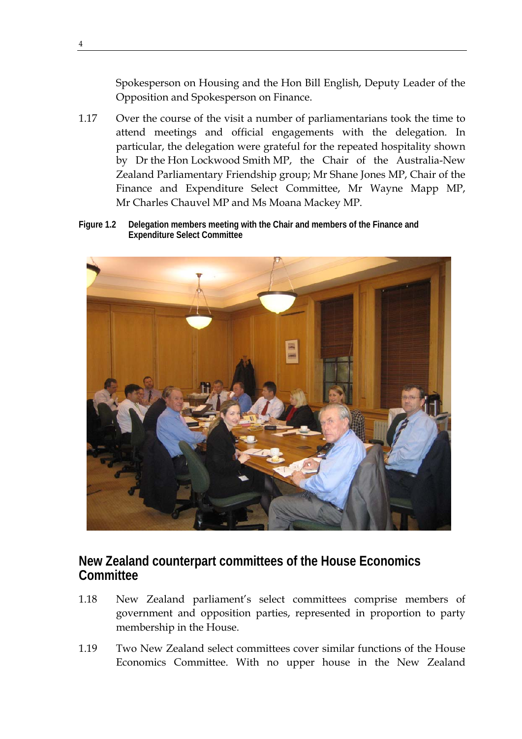Spokesperson on Housing and the Hon Bill English, Deputy Leader of the Opposition and Spokesperson on Finance.

- 1.17 Over the course of the visit a number of parliamentarians took the time to attend meetings and official engagements with the delegation. In particular, the delegation were grateful for the repeated hospitality shown by Dr the Hon Lockwood Smith MP, the Chair of the Australia-New Zealand Parliamentary Friendship group; Mr Shane Jones MP, Chair of the Finance and Expenditure Select Committee, Mr Wayne Mapp MP, Mr Charles Chauvel MP and Ms Moana Mackey MP.
- **Figure 1.2 Delegation members meeting with the Chair and members of the Finance and Expenditure Select Committee**



# **New Zealand counterpart committees of the House Economics Committee**

- 1.18 New Zealand parliament's select committees comprise members of government and opposition parties, represented in proportion to party membership in the House.
- 1.19 Two New Zealand select committees cover similar functions of the House Economics Committee. With no upper house in the New Zealand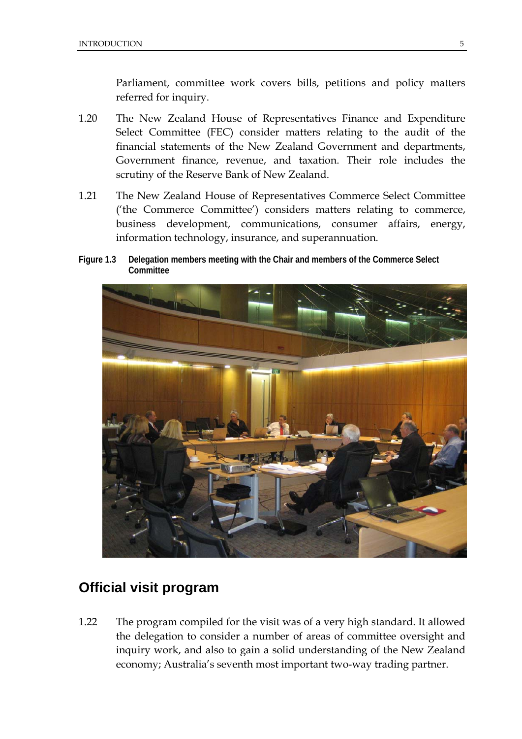Parliament, committee work covers bills, petitions and policy matters referred for inquiry.

- 1.20 The New Zealand House of Representatives Finance and Expenditure Select Committee (FEC) consider matters relating to the audit of the financial statements of the New Zealand Government and departments, Government finance, revenue, and taxation. Their role includes the scrutiny of the Reserve Bank of New Zealand.
- 1.21 The New Zealand House of Representatives Commerce Select Committee ('the Commerce Committee') considers matters relating to commerce, business development, communications, consumer affairs, energy, information technology, insurance, and superannuation.
- **Figure 1.3 Delegation members meeting with the Chair and members of the Commerce Select Committee**



# **Official visit program**

1.22 The program compiled for the visit was of a very high standard. It allowed the delegation to consider a number of areas of committee oversight and inquiry work, and also to gain a solid understanding of the New Zealand economy; Australia's seventh most important two-way trading partner.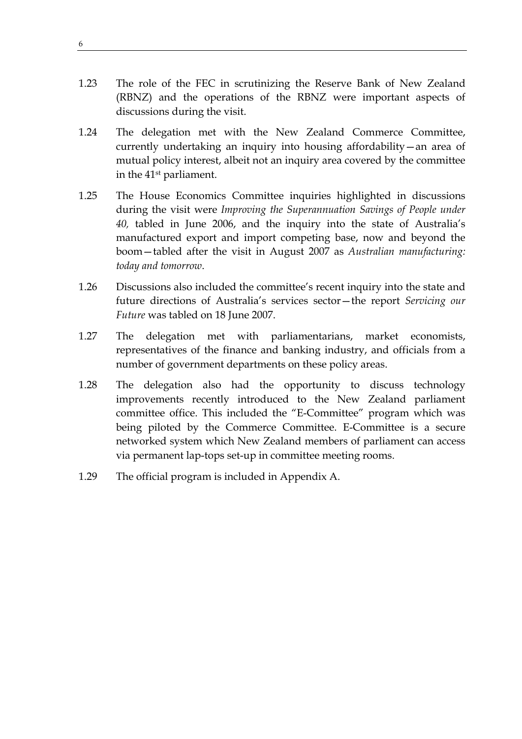- 1.23 The role of the FEC in scrutinizing the Reserve Bank of New Zealand (RBNZ) and the operations of the RBNZ were important aspects of discussions during the visit.
- 1.24 The delegation met with the New Zealand Commerce Committee, currently undertaking an inquiry into housing affordability—an area of mutual policy interest, albeit not an inquiry area covered by the committee in the 41st parliament.
- 1.25 The House Economics Committee inquiries highlighted in discussions during the visit were *Improving the Superannuation Savings of People under 40,* tabled in June 2006, and the inquiry into the state of Australia's manufactured export and import competing base, now and beyond the boom—tabled after the visit in August 2007 as *Australian manufacturing: today and tomorrow*.
- 1.26 Discussions also included the committee's recent inquiry into the state and future directions of Australia's services sector—the report *Servicing our Future* was tabled on 18 June 2007.
- 1.27 The delegation met with parliamentarians, market economists, representatives of the finance and banking industry, and officials from a number of government departments on these policy areas.
- 1.28 The delegation also had the opportunity to discuss technology improvements recently introduced to the New Zealand parliament committee office. This included the "E-Committee" program which was being piloted by the Commerce Committee. E-Committee is a secure networked system which New Zealand members of parliament can access via permanent lap-tops set-up in committee meeting rooms.
- 1.29 The official program is included in Appendix A.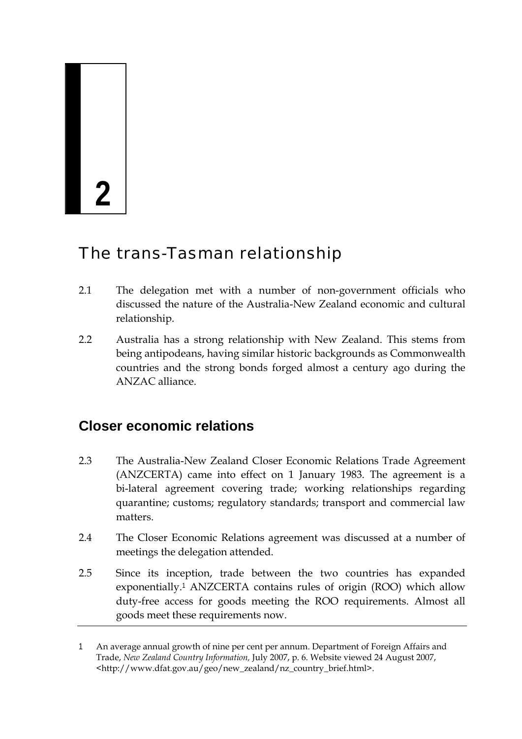# **2**

# The trans-Tasman relationship

- 2.1 The delegation met with a number of non-government officials who discussed the nature of the Australia-New Zealand economic and cultural relationship.
- 2.2 Australia has a strong relationship with New Zealand. This stems from being antipodeans, having similar historic backgrounds as Commonwealth countries and the strong bonds forged almost a century ago during the ANZAC alliance.

# **Closer economic relations**

- 2.3 The Australia-New Zealand Closer Economic Relations Trade Agreement (ANZCERTA) came into effect on 1 January 1983. The agreement is a bi-lateral agreement covering trade; working relationships regarding quarantine; customs; regulatory standards; transport and commercial law matters.
- 2.4 The Closer Economic Relations agreement was discussed at a number of meetings the delegation attended.
- 2.5 Since its inception, trade between the two countries has expanded exponentially.<sup>1</sup> ANZCERTA contains rules of origin (ROO) which allow duty-free access for goods meeting the ROO requirements. Almost all goods meet these requirements now.

<sup>1</sup> An average annual growth of nine per cent per annum. Department of Foreign Affairs and Trade, *New Zealand Country Information,* July 2007, p. 6. Website viewed 24 August 2007, <http://www.dfat.gov.au/geo/new\_zealand/nz\_country\_brief.html>.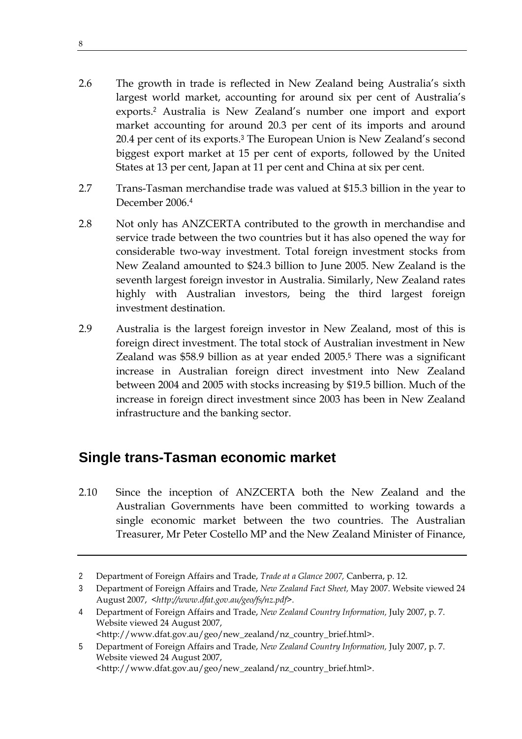- 2.6 The growth in trade is reflected in New Zealand being Australia's sixth largest world market, accounting for around six per cent of Australia's exports.<sup>2</sup> Australia is New Zealand's number one import and export market accounting for around 20.3 per cent of its imports and around 20.4 per cent of its exports.<sup>3</sup> The European Union is New Zealand's second biggest export market at 15 per cent of exports, followed by the United States at 13 per cent, Japan at 11 per cent and China at six per cent.
- 2.7 Trans-Tasman merchandise trade was valued at \$15.3 billion in the year to December 2006.<sup>4</sup>
- 2.8 Not only has ANZCERTA contributed to the growth in merchandise and service trade between the two countries but it has also opened the way for considerable two-way investment. Total foreign investment stocks from New Zealand amounted to \$24.3 billion to June 2005. New Zealand is the seventh largest foreign investor in Australia. Similarly, New Zealand rates highly with Australian investors, being the third largest foreign investment destination.
- 2.9 Australia is the largest foreign investor in New Zealand, most of this is foreign direct investment. The total stock of Australian investment in New Zealand was \$58.9 billion as at year ended 2005.<sup>5</sup> There was a significant increase in Australian foreign direct investment into New Zealand between 2004 and 2005 with stocks increasing by \$19.5 billion. Much of the increase in foreign direct investment since 2003 has been in New Zealand infrastructure and the banking sector.

# **Single trans-Tasman economic market**

2.10 Since the inception of ANZCERTA both the New Zealand and the Australian Governments have been committed to working towards a single economic market between the two countries. The Australian Treasurer, Mr Peter Costello MP and the New Zealand Minister of Finance,

<sup>2</sup> Department of Foreign Affairs and Trade, *Trade at a Glance 2007,* Canberra, p. 12.

<sup>3</sup> Department of Foreign Affairs and Trade, *New Zealand Fact Sheet,* May 2007. Website viewed 24 August 2007, *<http://www.dfat.gov.au/geo/fs/nz.pdf>.* 

<sup>4</sup> Department of Foreign Affairs and Trade, *New Zealand Country Information,* July 2007, p. 7. Website viewed 24 August 2007, <http://www.dfat.gov.au/geo/new\_zealand/nz\_country\_brief.html>.

<sup>5</sup> Department of Foreign Affairs and Trade, *New Zealand Country Information,* July 2007, p. 7. Website viewed 24 August 2007, <http://www.dfat.gov.au/geo/new\_zealand/nz\_country\_brief.html>.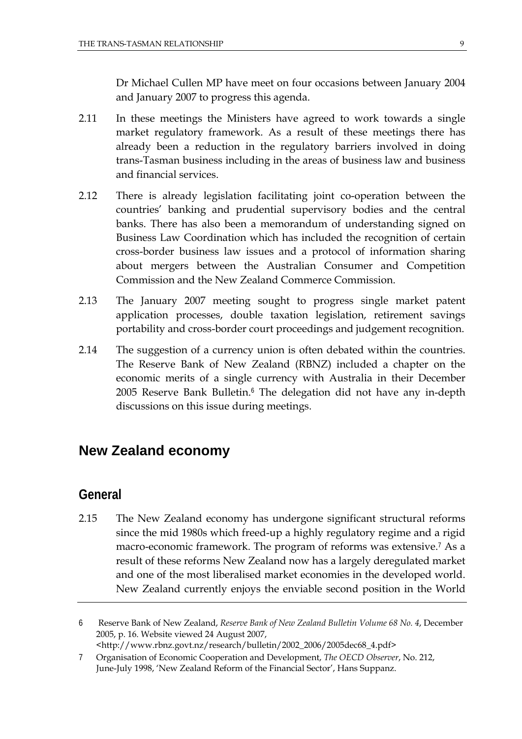Dr Michael Cullen MP have meet on four occasions between January 2004 and January 2007 to progress this agenda.

- 2.11 In these meetings the Ministers have agreed to work towards a single market regulatory framework. As a result of these meetings there has already been a reduction in the regulatory barriers involved in doing trans-Tasman business including in the areas of business law and business and financial services.
- 2.12 There is already legislation facilitating joint co-operation between the countries' banking and prudential supervisory bodies and the central banks. There has also been a memorandum of understanding signed on Business Law Coordination which has included the recognition of certain cross-border business law issues and a protocol of information sharing about mergers between the Australian Consumer and Competition Commission and the New Zealand Commerce Commission.
- 2.13 The January 2007 meeting sought to progress single market patent application processes, double taxation legislation, retirement savings portability and cross-border court proceedings and judgement recognition.
- 2.14 The suggestion of a currency union is often debated within the countries. The Reserve Bank of New Zealand (RBNZ) included a chapter on the economic merits of a single currency with Australia in their December 2005 Reserve Bank Bulletin.<sup>6</sup> The delegation did not have any in-depth discussions on this issue during meetings.

#### **New Zealand economy**

#### **General**

2.15 The New Zealand economy has undergone significant structural reforms since the mid 1980s which freed-up a highly regulatory regime and a rigid macro-economic framework. The program of reforms was extensive.<sup>7</sup> As a result of these reforms New Zealand now has a largely deregulated market and one of the most liberalised market economies in the developed world. New Zealand currently enjoys the enviable second position in the World

<sup>6</sup> Reserve Bank of New Zealand, *Reserve Bank of New Zealand Bulletin Volume 68 No. 4*, December 2005, p. 16. Website viewed 24 August 2007, <http://www.rbnz.govt.nz/research/bulletin/2002\_2006/2005dec68\_4.pdf>

<sup>7</sup> Organisation of Economic Cooperation and Development, *The OECD Observer*, No. 212, June-July 1998, 'New Zealand Reform of the Financial Sector', Hans Suppanz.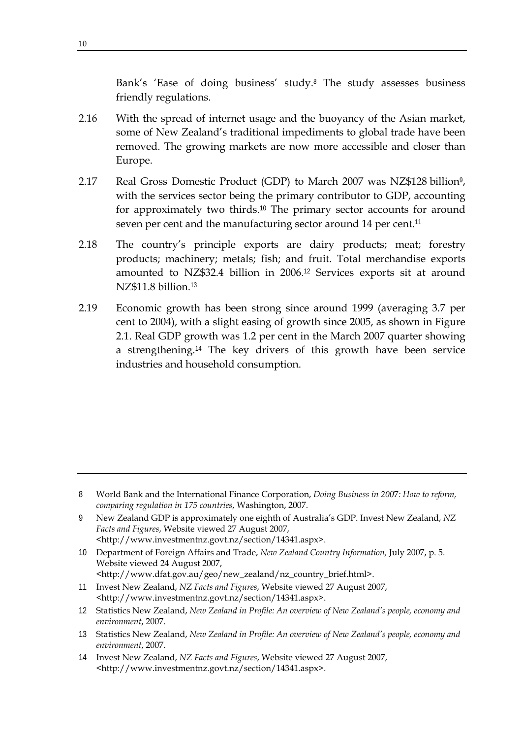Bank's 'Ease of doing business' study.<sup>8</sup> The study assesses business friendly regulations.

- 2.16 With the spread of internet usage and the buoyancy of the Asian market, some of New Zealand's traditional impediments to global trade have been removed. The growing markets are now more accessible and closer than Europe.
- 2.17 Real Gross Domestic Product (GDP) to March 2007 was NZ\$128 billion<sup>9</sup>, with the services sector being the primary contributor to GDP, accounting for approximately two thirds.<sup>10</sup> The primary sector accounts for around seven per cent and the manufacturing sector around 14 per cent.<sup>11</sup>
- 2.18 The country's principle exports are dairy products; meat; forestry products; machinery; metals; fish; and fruit. Total merchandise exports amounted to NZ\$32.4 billion in 2006.<sup>12</sup> Services exports sit at around NZ\$11.8 billion.<sup>13</sup>
- 2.19 Economic growth has been strong since around 1999 (averaging 3.7 per cent to 2004), with a slight easing of growth since 2005, as shown in Figure 2.1. Real GDP growth was 1.2 per cent in the March 2007 quarter showing a strengthening.<sup>14</sup> The key drivers of this growth have been service industries and household consumption.

<sup>8</sup> World Bank and the International Finance Corporation, *Doing Business in 200*7*: How to reform, comparing regulation in 175 countries*, Washington, 2007.

<sup>9</sup> New Zealand GDP is approximately one eighth of Australia's GDP. Invest New Zealand, *NZ Facts and Figures*, Website viewed 27 August 2007, <http://www.investmentnz.govt.nz/section/14341.aspx>.

<sup>10</sup> Department of Foreign Affairs and Trade, *New Zealand Country Information,* July 2007, p. 5. Website viewed 24 August 2007, <http://www.dfat.gov.au/geo/new\_zealand/nz\_country\_brief.html>.

<sup>11</sup> Invest New Zealand, *NZ Facts and Figures*, Website viewed 27 August 2007, <http://www.investmentnz.govt.nz/section/14341.aspx>.

<sup>12</sup> Statistics New Zealand, *New Zealand in Profile: An overview of New Zealand's people, economy and environment*, 2007.

<sup>13</sup> Statistics New Zealand, *New Zealand in Profile: An overview of New Zealand's people, economy and environment*, 2007.

<sup>14</sup> Invest New Zealand, *NZ Facts and Figures*, Website viewed 27 August 2007, <http://www.investmentnz.govt.nz/section/14341.aspx>.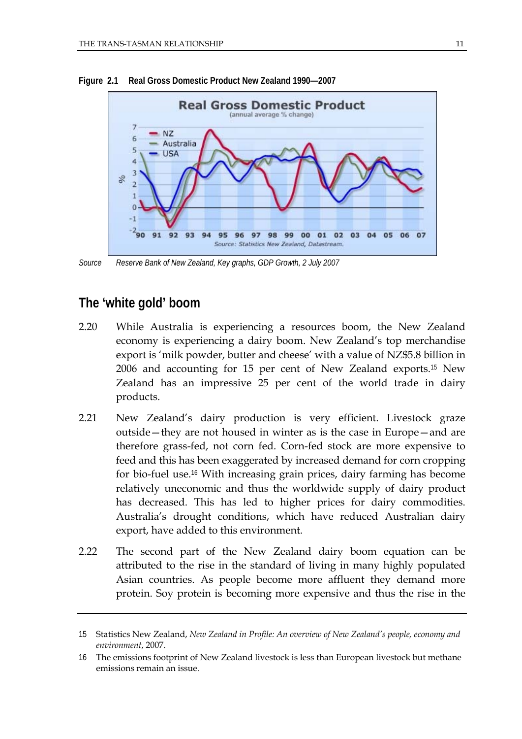

**Figure 2.1 Real Gross Domestic Product New Zealand 1990—2007** 

*Source Reserve Bank of New Zealand, Key graphs, GDP Growth, 2 July 2007* 

# **The 'white gold' boom**

- 2.20 While Australia is experiencing a resources boom, the New Zealand economy is experiencing a dairy boom. New Zealand's top merchandise export is 'milk powder, butter and cheese' with a value of NZ\$5.8 billion in 2006 and accounting for 15 per cent of New Zealand exports.<sup>15</sup> New Zealand has an impressive 25 per cent of the world trade in dairy products.
- 2.21 New Zealand's dairy production is very efficient. Livestock graze outside—they are not housed in winter as is the case in Europe—and are therefore grass-fed, not corn fed. Corn-fed stock are more expensive to feed and this has been exaggerated by increased demand for corn cropping for bio-fuel use.<sup>16</sup> With increasing grain prices, dairy farming has become relatively uneconomic and thus the worldwide supply of dairy product has decreased. This has led to higher prices for dairy commodities. Australia's drought conditions, which have reduced Australian dairy export, have added to this environment.
- 2.22 The second part of the New Zealand dairy boom equation can be attributed to the rise in the standard of living in many highly populated Asian countries. As people become more affluent they demand more protein. Soy protein is becoming more expensive and thus the rise in the

<sup>15</sup> Statistics New Zealand, *New Zealand in Profile: An overview of New Zealand's people, economy and environment*, 2007.

<sup>16</sup> The emissions footprint of New Zealand livestock is less than European livestock but methane emissions remain an issue.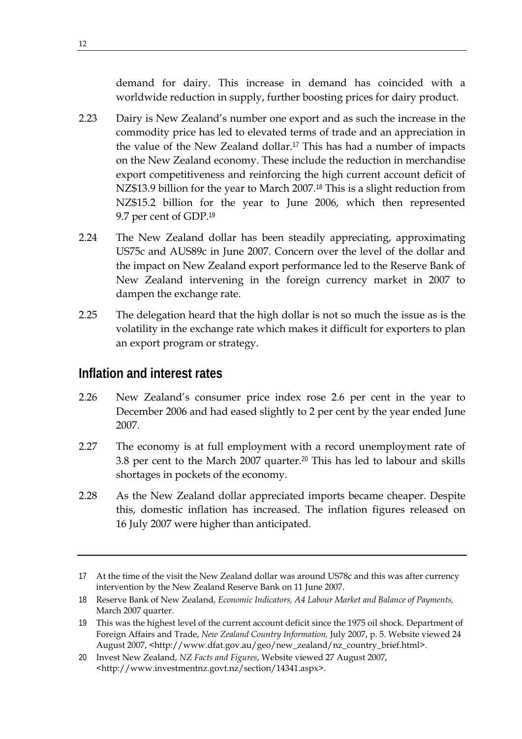demand for dairy. This increase in demand has coincided with a worldwide reduction in supply, further boosting prices for dairy product.

- 2.23 Dairy is New Zealand's number one export and as such the increase in the commodity price has led to elevated terms of trade and an appreciation in the value of the New Zealand dollar.<sup>17</sup> This has had a number of impacts on the New Zealand economy. These include the reduction in merchandise export competitiveness and reinforcing the high current account deficit of NZ\$13.9 billion for the year to March 2007.<sup>18</sup> This is a slight reduction from NZ\$15.2 billion for the year to June 2006, which then represented 9.7 per cent of GDP.<sup>19</sup>
- 2.24 The New Zealand dollar has been steadily appreciating, approximating US75c and AUS89c in June 2007. Concern over the level of the dollar and the impact on New Zealand export performance led to the Reserve Bank of New Zealand intervening in the foreign currency market in 2007 to dampen the exchange rate.
- 2.25 The delegation heard that the high dollar is not so much the issue as is the volatility in the exchange rate which makes it difficult for exporters to plan an export program or strategy.

# **Inflation and interest rates**

- 2.26 New Zealand's consumer price index rose 2.6 per cent in the year to December 2006 and had eased slightly to 2 per cent by the year ended June 2007.
- 2.27 The economy is at full employment with a record unemployment rate of 3.8 per cent to the March 2007 quarter.<sup>20</sup> This has led to labour and skills shortages in pockets of the economy.
- 2.28 As the New Zealand dollar appreciated imports became cheaper. Despite this, domestic inflation has increased. The inflation figures released on 16 July 2007 were higher than anticipated.

<sup>17</sup> At the time of the visit the New Zealand dollar was around US78c and this was after currency intervention by the New Zealand Reserve Bank on 11 June 2007.

<sup>18</sup> Reserve Bank of New Zealand, *Economic Indicators, A4 Labour Market and Balance of Payments,* March 2007 quarter.

<sup>19</sup> This was the highest level of the current account deficit since the 1975 oil shock. Department of Foreign Affairs and Trade, *New Zealand Country Information,* July 2007, p. 5. Website viewed 24 August 2007, <http://www.dfat.gov.au/geo/new\_zealand/nz\_country\_brief.html>.

<sup>20</sup> Invest New Zealand, *NZ Facts and Figures*, Website viewed 27 August 2007, <http://www.investmentnz.govt.nz/section/14341.aspx>.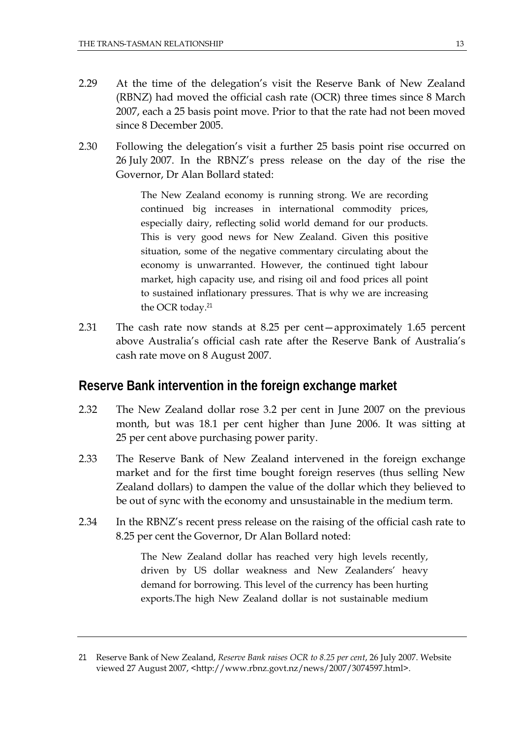- 2.29 At the time of the delegation's visit the Reserve Bank of New Zealand (RBNZ) had moved the official cash rate (OCR) three times since 8 March 2007, each a 25 basis point move. Prior to that the rate had not been moved since 8 December 2005.
- 2.30 Following the delegation's visit a further 25 basis point rise occurred on 26 July 2007. In the RBNZ's press release on the day of the rise the Governor, Dr Alan Bollard stated:

The New Zealand economy is running strong. We are recording continued big increases in international commodity prices, especially dairy, reflecting solid world demand for our products. This is very good news for New Zealand. Given this positive situation, some of the negative commentary circulating about the economy is unwarranted. However, the continued tight labour market, high capacity use, and rising oil and food prices all point to sustained inflationary pressures. That is why we are increasing the OCR today.<sup>21</sup>

2.31 The cash rate now stands at 8.25 per cent—approximately 1.65 percent above Australia's official cash rate after the Reserve Bank of Australia's cash rate move on 8 August 2007.

#### **Reserve Bank intervention in the foreign exchange market**

- 2.32 The New Zealand dollar rose 3.2 per cent in June 2007 on the previous month, but was 18.1 per cent higher than June 2006. It was sitting at 25 per cent above purchasing power parity.
- 2.33 The Reserve Bank of New Zealand intervened in the foreign exchange market and for the first time bought foreign reserves (thus selling New Zealand dollars) to dampen the value of the dollar which they believed to be out of sync with the economy and unsustainable in the medium term.
- 2.34 In the RBNZ's recent press release on the raising of the official cash rate to 8.25 per cent the Governor, Dr Alan Bollard noted:

The New Zealand dollar has reached very high levels recently, driven by US dollar weakness and New Zealanders' heavy demand for borrowing. This level of the currency has been hurting exports.The high New Zealand dollar is not sustainable medium

<sup>21</sup> Reserve Bank of New Zealand, *Reserve Bank raises OCR to 8.25 per cent*, 26 July 2007. Website viewed 27 August 2007, <http://www.rbnz.govt.nz/news/2007/3074597.html>.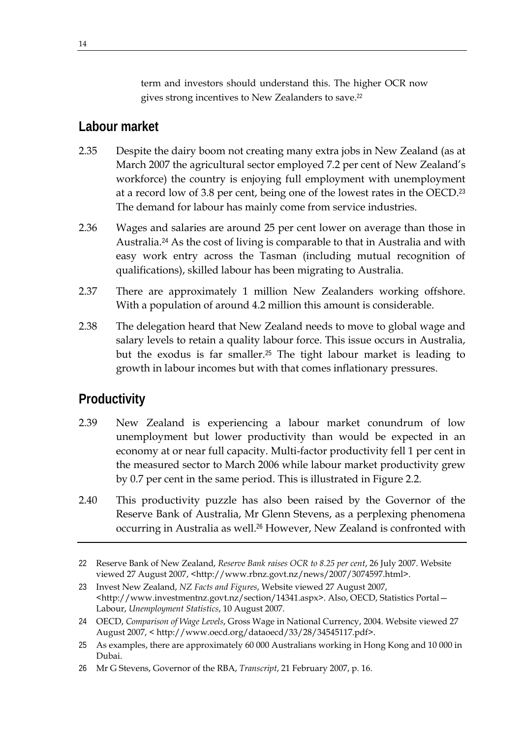term and investors should understand this. The higher OCR now gives strong incentives to New Zealanders to save.<sup>22</sup>

# **Labour market**

- 2.35 Despite the dairy boom not creating many extra jobs in New Zealand (as at March 2007 the agricultural sector employed 7.2 per cent of New Zealand's workforce) the country is enjoying full employment with unemployment at a record low of 3.8 per cent, being one of the lowest rates in the OECD.<sup>23</sup> The demand for labour has mainly come from service industries.
- 2.36 Wages and salaries are around 25 per cent lower on average than those in Australia.<sup>24</sup> As the cost of living is comparable to that in Australia and with easy work entry across the Tasman (including mutual recognition of qualifications), skilled labour has been migrating to Australia.
- 2.37 There are approximately 1 million New Zealanders working offshore. With a population of around 4.2 million this amount is considerable.
- 2.38 The delegation heard that New Zealand needs to move to global wage and salary levels to retain a quality labour force. This issue occurs in Australia, but the exodus is far smaller.<sup>25</sup> The tight labour market is leading to growth in labour incomes but with that comes inflationary pressures.

# **Productivity**

- 2.39 New Zealand is experiencing a labour market conundrum of low unemployment but lower productivity than would be expected in an economy at or near full capacity. Multi-factor productivity fell 1 per cent in the measured sector to March 2006 while labour market productivity grew by 0.7 per cent in the same period. This is illustrated in Figure 2.2.
- 2.40 This productivity puzzle has also been raised by the Governor of the Reserve Bank of Australia, Mr Glenn Stevens, as a perplexing phenomena occurring in Australia as well.<sup>26</sup> However, New Zealand is confronted with

<sup>22</sup> Reserve Bank of New Zealand, *Reserve Bank raises OCR to 8.25 per cent*, 26 July 2007. Website viewed 27 August 2007, <http://www.rbnz.govt.nz/news/2007/3074597.html>.

<sup>23</sup> Invest New Zealand, *NZ Facts and Figures*, Website viewed 27 August 2007, <http://www.investmentnz.govt.nz/section/14341.aspx>. Also, OECD, Statistics Portal— Labour, *Unemployment Statistics*, 10 August 2007.

<sup>24</sup> OECD, *Comparison of Wage Levels*, Gross Wage in National Currency, 2004. Website viewed 27 August 2007, < http://www.oecd.org/dataoecd/33/28/34545117.pdf>.

<sup>25</sup> As examples, there are approximately 60 000 Australians working in Hong Kong and 10 000 in Dubai.

<sup>26</sup> Mr G Stevens, Governor of the RBA, *Transcript*, 21 February 2007, p. 16.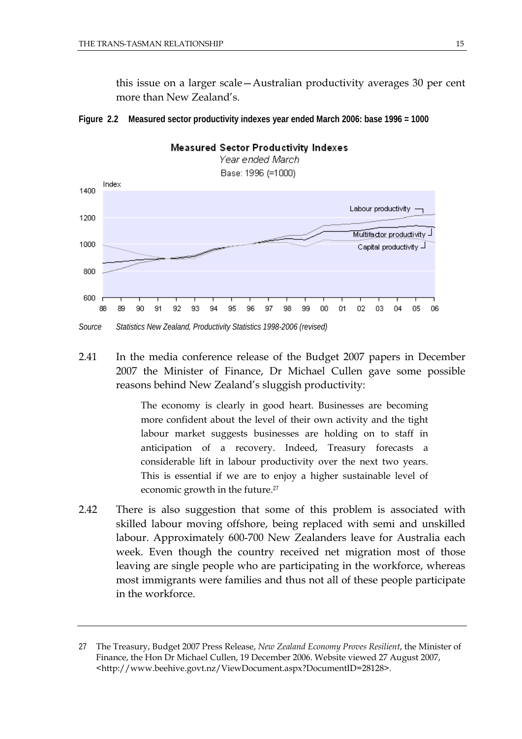this issue on a larger scale—Australian productivity averages 30 per cent more than New Zealand's.





2.41 In the media conference release of the Budget 2007 papers in December 2007 the Minister of Finance, Dr Michael Cullen gave some possible reasons behind New Zealand's sluggish productivity:

> The economy is clearly in good heart. Businesses are becoming more confident about the level of their own activity and the tight labour market suggests businesses are holding on to staff in anticipation of a recovery. Indeed, Treasury forecasts a considerable lift in labour productivity over the next two years. This is essential if we are to enjoy a higher sustainable level of economic growth in the future.<sup>27</sup>

2.42 There is also suggestion that some of this problem is associated with skilled labour moving offshore, being replaced with semi and unskilled labour. Approximately 600-700 New Zealanders leave for Australia each week. Even though the country received net migration most of those leaving are single people who are participating in the workforce, whereas most immigrants were families and thus not all of these people participate in the workforce.

<sup>27</sup> The Treasury, Budget 2007 Press Release, *New Zealand Economy Proves Resilient*, the Minister of Finance, the Hon Dr Michael Cullen, 19 December 2006. Website viewed 27 August 2007, <http://www.beehive.govt.nz/ViewDocument.aspx?DocumentID=28128>.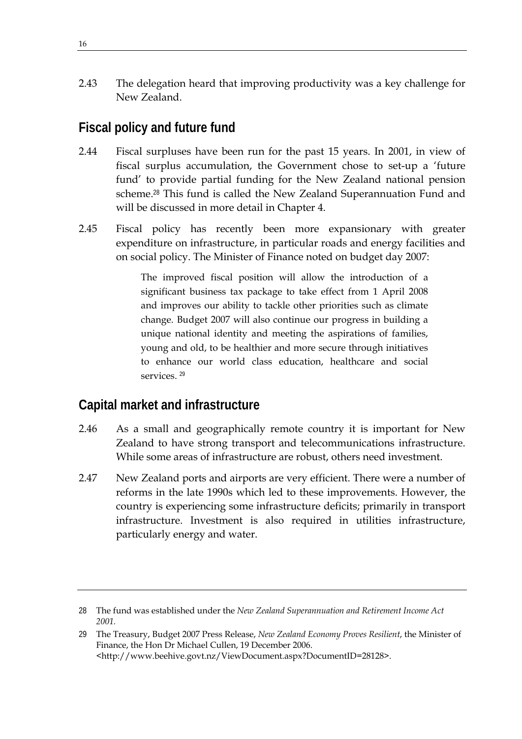2.43 The delegation heard that improving productivity was a key challenge for New Zealand.

# **Fiscal policy and future fund**

- 2.44 Fiscal surpluses have been run for the past 15 years. In 2001, in view of fiscal surplus accumulation, the Government chose to set-up a 'future fund' to provide partial funding for the New Zealand national pension scheme.<sup>28</sup> This fund is called the New Zealand Superannuation Fund and will be discussed in more detail in Chapter 4.
- 2.45 Fiscal policy has recently been more expansionary with greater expenditure on infrastructure, in particular roads and energy facilities and on social policy. The Minister of Finance noted on budget day 2007:

The improved fiscal position will allow the introduction of a significant business tax package to take effect from 1 April 2008 and improves our ability to tackle other priorities such as climate change. Budget 2007 will also continue our progress in building a unique national identity and meeting the aspirations of families, young and old, to be healthier and more secure through initiatives to enhance our world class education, healthcare and social services.<sup>29</sup>

# **Capital market and infrastructure**

- 2.46 As a small and geographically remote country it is important for New Zealand to have strong transport and telecommunications infrastructure. While some areas of infrastructure are robust, others need investment.
- 2.47 New Zealand ports and airports are very efficient. There were a number of reforms in the late 1990s which led to these improvements. However, the country is experiencing some infrastructure deficits; primarily in transport infrastructure. Investment is also required in utilities infrastructure, particularly energy and water.

<sup>28</sup> The fund was established under the *New Zealand Superannuation and Retirement Income Act 2001.*

<sup>29</sup> The Treasury, Budget 2007 Press Release, *New Zealand Economy Proves Resilient*, the Minister of Finance, the Hon Dr Michael Cullen, 19 December 2006. <http://www.beehive.govt.nz/ViewDocument.aspx?DocumentID=28128>.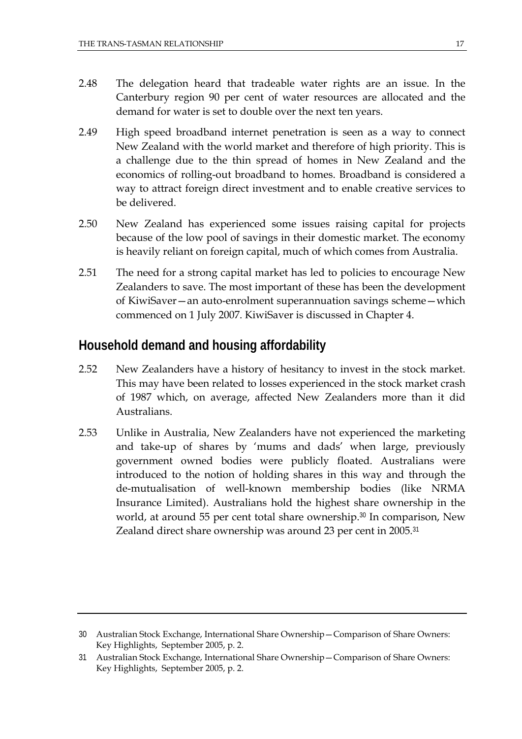- 2.48 The delegation heard that tradeable water rights are an issue. In the Canterbury region 90 per cent of water resources are allocated and the demand for water is set to double over the next ten years.
- 2.49 High speed broadband internet penetration is seen as a way to connect New Zealand with the world market and therefore of high priority. This is a challenge due to the thin spread of homes in New Zealand and the economics of rolling-out broadband to homes. Broadband is considered a way to attract foreign direct investment and to enable creative services to be delivered.
- 2.50 New Zealand has experienced some issues raising capital for projects because of the low pool of savings in their domestic market. The economy is heavily reliant on foreign capital, much of which comes from Australia.
- 2.51 The need for a strong capital market has led to policies to encourage New Zealanders to save. The most important of these has been the development of KiwiSaver—an auto-enrolment superannuation savings scheme—which commenced on 1 July 2007. KiwiSaver is discussed in Chapter 4.

# **Household demand and housing affordability**

- 2.52 New Zealanders have a history of hesitancy to invest in the stock market. This may have been related to losses experienced in the stock market crash of 1987 which, on average, affected New Zealanders more than it did Australians.
- 2.53 Unlike in Australia, New Zealanders have not experienced the marketing and take-up of shares by 'mums and dads' when large, previously government owned bodies were publicly floated. Australians were introduced to the notion of holding shares in this way and through the de-mutualisation of well-known membership bodies (like NRMA Insurance Limited). Australians hold the highest share ownership in the world, at around 55 per cent total share ownership.<sup>30</sup> In comparison, New Zealand direct share ownership was around 23 per cent in 2005.<sup>31</sup>

<sup>30</sup> Australian Stock Exchange, International Share Ownership—Comparison of Share Owners: Key Highlights, September 2005, p. 2.

<sup>31</sup> Australian Stock Exchange, International Share Ownership—Comparison of Share Owners: Key Highlights, September 2005, p. 2.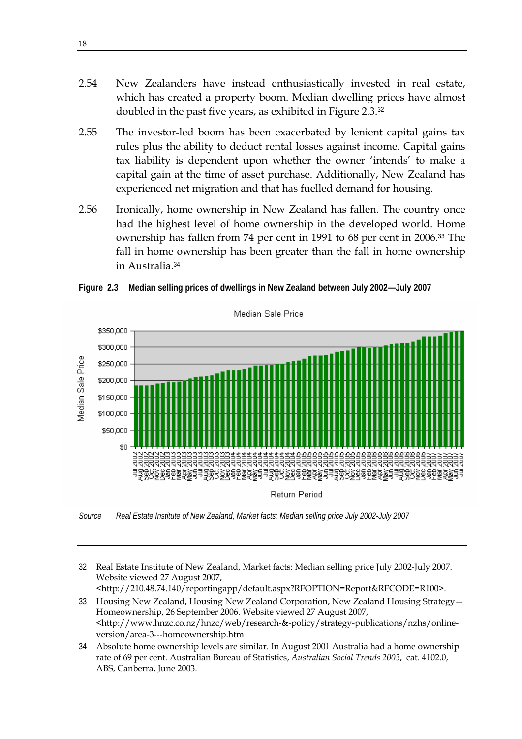- 2.54 New Zealanders have instead enthusiastically invested in real estate, which has created a property boom. Median dwelling prices have almost doubled in the past five years, as exhibited in Figure 2.3.<sup>32</sup>
- 2.55 The investor-led boom has been exacerbated by lenient capital gains tax rules plus the ability to deduct rental losses against income. Capital gains tax liability is dependent upon whether the owner 'intends' to make a capital gain at the time of asset purchase. Additionally, New Zealand has experienced net migration and that has fuelled demand for housing.
- 2.56 Ironically, home ownership in New Zealand has fallen. The country once had the highest level of home ownership in the developed world. Home ownership has fallen from 74 per cent in 1991 to 68 per cent in 2006.<sup>33</sup> The fall in home ownership has been greater than the fall in home ownership in Australia.<sup>34</sup>



**Figure 2.3 Median selling prices of dwellings in New Zealand between July 2002—July 2007** 

*Source Real Estate Institute of New Zealand, Market facts: Median selling price July 2002-July 2007* 

32 Real Estate Institute of New Zealand, Market facts: Median selling price July 2002-July 2007. Website viewed 27 August 2007,

<http://210.48.74.140/reportingapp/default.aspx?RFOPTION=Report&RFCODE=R100>.

- 33 Housing New Zealand, Housing New Zealand Corporation, New Zealand Housing Strategy— Homeownership, 26 September 2006. Website viewed 27 August 2007, <http://www.hnzc.co.nz/hnzc/web/research-&-policy/strategy-publications/nzhs/onlineversion/area-3---homeownership.htm
- 34 Absolute home ownership levels are similar. In August 2001 Australia had a home ownership rate of 69 per cent. Australian Bureau of Statistics, *Australian Social Trends 2003*, cat. 4102.0, ABS, Canberra, June 2003.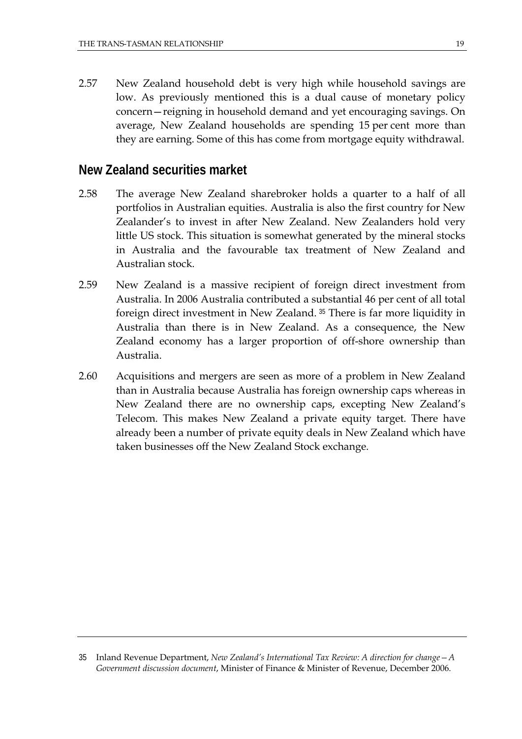2.57 New Zealand household debt is very high while household savings are low. As previously mentioned this is a dual cause of monetary policy concern—reigning in household demand and yet encouraging savings. On average, New Zealand households are spending 15 per cent more than they are earning. Some of this has come from mortgage equity withdrawal.

#### **New Zealand securities market**

- 2.58 The average New Zealand sharebroker holds a quarter to a half of all portfolios in Australian equities. Australia is also the first country for New Zealander's to invest in after New Zealand. New Zealanders hold very little US stock. This situation is somewhat generated by the mineral stocks in Australia and the favourable tax treatment of New Zealand and Australian stock.
- 2.59 New Zealand is a massive recipient of foreign direct investment from Australia. In 2006 Australia contributed a substantial 46 per cent of all total foreign direct investment in New Zealand.<sup>35</sup> There is far more liquidity in Australia than there is in New Zealand. As a consequence, the New Zealand economy has a larger proportion of off-shore ownership than Australia.
- 2.60 Acquisitions and mergers are seen as more of a problem in New Zealand than in Australia because Australia has foreign ownership caps whereas in New Zealand there are no ownership caps, excepting New Zealand's Telecom. This makes New Zealand a private equity target. There have already been a number of private equity deals in New Zealand which have taken businesses off the New Zealand Stock exchange.

<sup>35</sup> Inland Revenue Department, *New Zealand's International Tax Review: A direction for change—A Government discussion document*, Minister of Finance & Minister of Revenue, December 2006.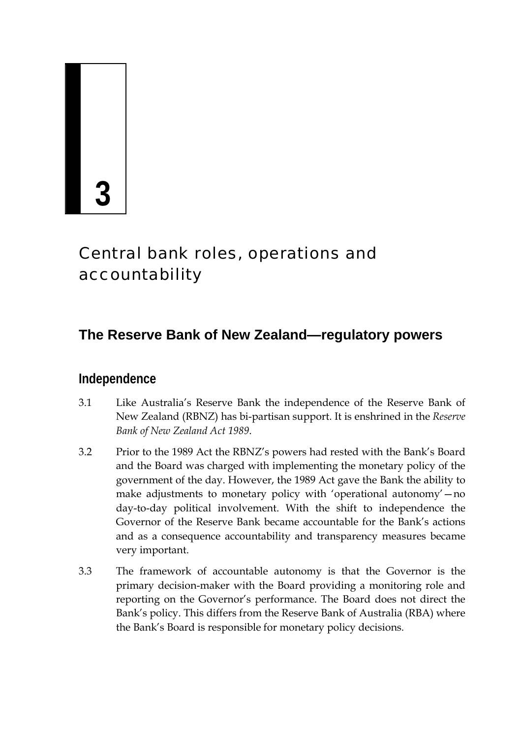# **3**

# Central bank roles, operations and accountability

# **The Reserve Bank of New Zealand—regulatory powers**

# **Independence**

- 3.1 Like Australia's Reserve Bank the independence of the Reserve Bank of New Zealand (RBNZ) has bi-partisan support. It is enshrined in the *Reserve Bank of New Zealand Act 1989*.
- 3.2 Prior to the 1989 Act the RBNZ's powers had rested with the Bank's Board and the Board was charged with implementing the monetary policy of the government of the day. However, the 1989 Act gave the Bank the ability to make adjustments to monetary policy with 'operational autonomy'—no day-to-day political involvement. With the shift to independence the Governor of the Reserve Bank became accountable for the Bank's actions and as a consequence accountability and transparency measures became very important.
- 3.3 The framework of accountable autonomy is that the Governor is the primary decision-maker with the Board providing a monitoring role and reporting on the Governor's performance. The Board does not direct the Bank's policy. This differs from the Reserve Bank of Australia (RBA) where the Bank's Board is responsible for monetary policy decisions.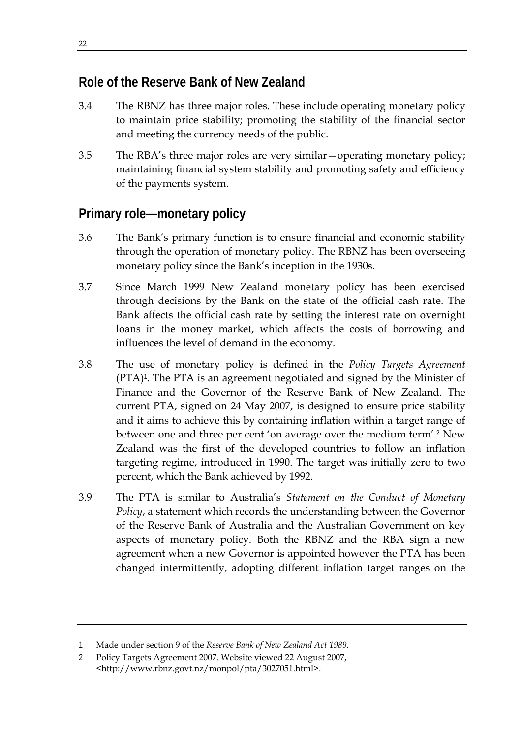# **Role of the Reserve Bank of New Zealand**

- 3.4 The RBNZ has three major roles. These include operating monetary policy to maintain price stability; promoting the stability of the financial sector and meeting the currency needs of the public.
- 3.5 The RBA's three major roles are very similar—operating monetary policy; maintaining financial system stability and promoting safety and efficiency of the payments system.

# **Primary role—monetary policy**

- 3.6 The Bank's primary function is to ensure financial and economic stability through the operation of monetary policy. The RBNZ has been overseeing monetary policy since the Bank's inception in the 1930s.
- 3.7 Since March 1999 New Zealand monetary policy has been exercised through decisions by the Bank on the state of the official cash rate. The Bank affects the official cash rate by setting the interest rate on overnight loans in the money market, which affects the costs of borrowing and influences the level of demand in the economy.
- 3.8 The use of monetary policy is defined in the *Policy Targets Agreement*  (PTA)<sup>1</sup>. The PTA is an agreement negotiated and signed by the Minister of Finance and the Governor of the Reserve Bank of New Zealand. The current PTA, signed on 24 May 2007, is designed to ensure price stability and it aims to achieve this by containing inflation within a target range of between one and three per cent 'on average over the medium term'.<sup>2</sup> New Zealand was the first of the developed countries to follow an inflation targeting regime, introduced in 1990. The target was initially zero to two percent, which the Bank achieved by 1992.
- 3.9 The PTA is similar to Australia's *Statement on the Conduct of Monetary Policy*, a statement which records the understanding between the Governor of the Reserve Bank of Australia and the Australian Government on key aspects of monetary policy. Both the RBNZ and the RBA sign a new agreement when a new Governor is appointed however the PTA has been changed intermittently, adopting different inflation target ranges on the

<sup>1</sup> Made under section 9 of the *Reserve Bank of New Zealand Act 1989*.

<sup>2</sup> Policy Targets Agreement 2007. Website viewed 22 August 2007, <http://www.rbnz.govt.nz/monpol/pta/3027051.html>.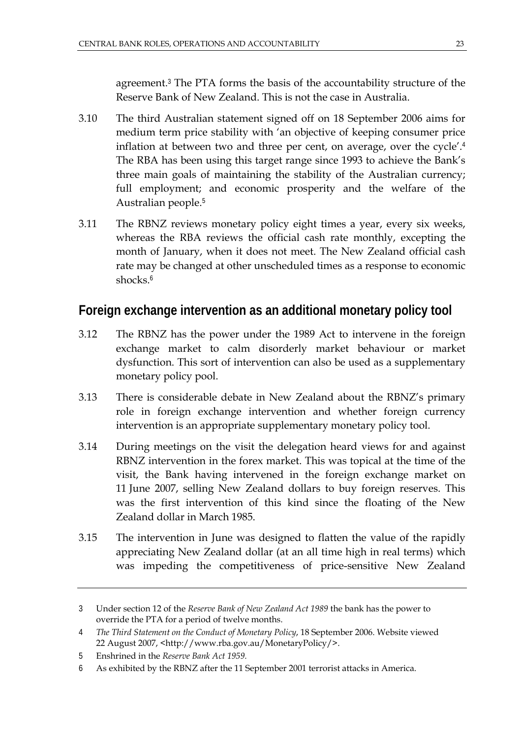agreement.<sup>3</sup> The PTA forms the basis of the accountability structure of the Reserve Bank of New Zealand. This is not the case in Australia.

- 3.10 The third Australian statement signed off on 18 September 2006 aims for medium term price stability with 'an objective of keeping consumer price inflation at between two and three per cent, on average, over the cycle'.<sup>4</sup> The RBA has been using this target range since 1993 to achieve the Bank's three main goals of maintaining the stability of the Australian currency; full employment; and economic prosperity and the welfare of the Australian people.<sup>5</sup>
- 3.11 The RBNZ reviews monetary policy eight times a year, every six weeks, whereas the RBA reviews the official cash rate monthly, excepting the month of January, when it does not meet. The New Zealand official cash rate may be changed at other unscheduled times as a response to economic shocks.<sup>6</sup>

# **Foreign exchange intervention as an additional monetary policy tool**

- 3.12 The RBNZ has the power under the 1989 Act to intervene in the foreign exchange market to calm disorderly market behaviour or market dysfunction. This sort of intervention can also be used as a supplementary monetary policy pool.
- 3.13 There is considerable debate in New Zealand about the RBNZ's primary role in foreign exchange intervention and whether foreign currency intervention is an appropriate supplementary monetary policy tool.
- 3.14 During meetings on the visit the delegation heard views for and against RBNZ intervention in the forex market. This was topical at the time of the visit, the Bank having intervened in the foreign exchange market on 11 June 2007, selling New Zealand dollars to buy foreign reserves. This was the first intervention of this kind since the floating of the New Zealand dollar in March 1985.
- 3.15 The intervention in June was designed to flatten the value of the rapidly appreciating New Zealand dollar (at an all time high in real terms) which was impeding the competitiveness of price-sensitive New Zealand

<sup>3</sup> Under section 12 of the *Reserve Bank of New Zealand Act 1989* the bank has the power to override the PTA for a period of twelve months.

<sup>4</sup> *The Third Statement on the Conduct of Monetary Policy*, 18 September 2006. Website viewed 22 August 2007, <http://www.rba.gov.au/MonetaryPolicy/>.

<sup>5</sup> Enshrined in the *Reserve Bank Act 1959.*

<sup>6</sup> As exhibited by the RBNZ after the 11 September 2001 terrorist attacks in America.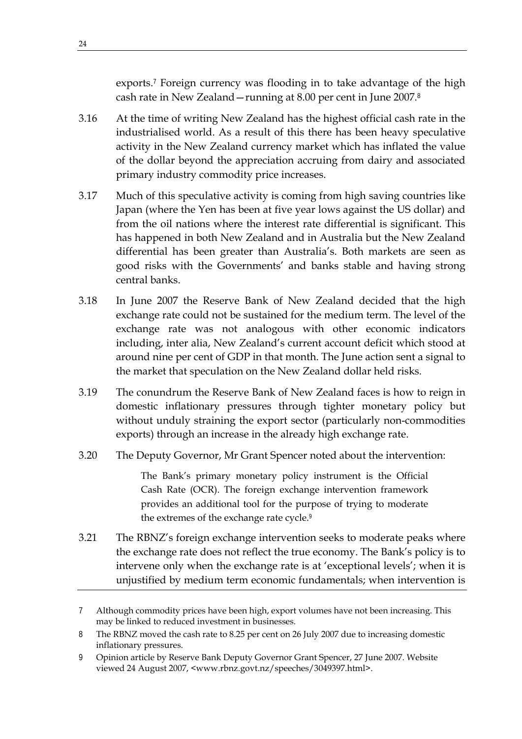exports.<sup>7</sup> Foreign currency was flooding in to take advantage of the high cash rate in New Zealand—running at 8.00 per cent in June 2007.<sup>8</sup>

- 3.16 At the time of writing New Zealand has the highest official cash rate in the industrialised world. As a result of this there has been heavy speculative activity in the New Zealand currency market which has inflated the value of the dollar beyond the appreciation accruing from dairy and associated primary industry commodity price increases.
- 3.17 Much of this speculative activity is coming from high saving countries like Japan (where the Yen has been at five year lows against the US dollar) and from the oil nations where the interest rate differential is significant. This has happened in both New Zealand and in Australia but the New Zealand differential has been greater than Australia's. Both markets are seen as good risks with the Governments' and banks stable and having strong central banks.
- 3.18 In June 2007 the Reserve Bank of New Zealand decided that the high exchange rate could not be sustained for the medium term. The level of the exchange rate was not analogous with other economic indicators including, inter alia, New Zealand's current account deficit which stood at around nine per cent of GDP in that month. The June action sent a signal to the market that speculation on the New Zealand dollar held risks.
- 3.19 The conundrum the Reserve Bank of New Zealand faces is how to reign in domestic inflationary pressures through tighter monetary policy but without unduly straining the export sector (particularly non-commodities exports) through an increase in the already high exchange rate.
- 3.20 The Deputy Governor, Mr Grant Spencer noted about the intervention:

The Bank's primary monetary policy instrument is the Official Cash Rate (OCR). The foreign exchange intervention framework provides an additional tool for the purpose of trying to moderate the extremes of the exchange rate cycle.<sup>9</sup>

3.21 The RBNZ's foreign exchange intervention seeks to moderate peaks where the exchange rate does not reflect the true economy. The Bank's policy is to intervene only when the exchange rate is at 'exceptional levels'; when it is unjustified by medium term economic fundamentals; when intervention is

<sup>7</sup> Although commodity prices have been high, export volumes have not been increasing. This may be linked to reduced investment in businesses.

<sup>8</sup> The RBNZ moved the cash rate to 8.25 per cent on 26 July 2007 due to increasing domestic inflationary pressures.

<sup>9</sup> Opinion article by Reserve Bank Deputy Governor Grant Spencer, 27 June 2007. Website viewed 24 August 2007, <www.rbnz.govt.nz/speeches/3049397.html>.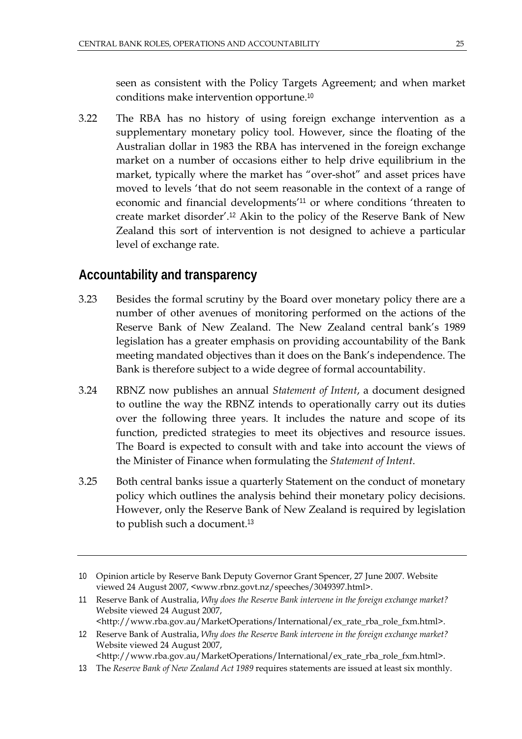seen as consistent with the Policy Targets Agreement; and when market conditions make intervention opportune.<sup>10</sup>

3.22 The RBA has no history of using foreign exchange intervention as a supplementary monetary policy tool. However, since the floating of the Australian dollar in 1983 the RBA has intervened in the foreign exchange market on a number of occasions either to help drive equilibrium in the market, typically where the market has "over-shot" and asset prices have moved to levels 'that do not seem reasonable in the context of a range of economic and financial developments'<sup>11</sup> or where conditions 'threaten to create market disorder'.<sup>12</sup> Akin to the policy of the Reserve Bank of New Zealand this sort of intervention is not designed to achieve a particular level of exchange rate.

#### **Accountability and transparency**

- 3.23 Besides the formal scrutiny by the Board over monetary policy there are a number of other avenues of monitoring performed on the actions of the Reserve Bank of New Zealand. The New Zealand central bank's 1989 legislation has a greater emphasis on providing accountability of the Bank meeting mandated objectives than it does on the Bank's independence. The Bank is therefore subject to a wide degree of formal accountability.
- 3.24 RBNZ now publishes an annual *Statement of Intent*, a document designed to outline the way the RBNZ intends to operationally carry out its duties over the following three years. It includes the nature and scope of its function, predicted strategies to meet its objectives and resource issues. The Board is expected to consult with and take into account the views of the Minister of Finance when formulating the *Statement of Intent*.
- 3.25 Both central banks issue a quarterly Statement on the conduct of monetary policy which outlines the analysis behind their monetary policy decisions. However, only the Reserve Bank of New Zealand is required by legislation to publish such a document.<sup>13</sup>

<sup>10</sup> Opinion article by Reserve Bank Deputy Governor Grant Spencer, 27 June 2007. Website viewed 24 August 2007, <www.rbnz.govt.nz/speeches/3049397.html>.

<sup>11</sup> Reserve Bank of Australia, *Why does the Reserve Bank intervene in the foreign exchange market?* Website viewed 24 August 2007, <http://www.rba.gov.au/MarketOperations/International/ex\_rate\_rba\_role\_fxm.html>.

<sup>12</sup> Reserve Bank of Australia, *Why does the Reserve Bank intervene in the foreign exchange market?* Website viewed 24 August 2007,

<sup>&</sup>lt;http://www.rba.gov.au/MarketOperations/International/ex\_rate\_rba\_role\_fxm.html>.

<sup>13</sup> The *Reserve Bank of New Zealand Act 1989* requires statements are issued at least six monthly.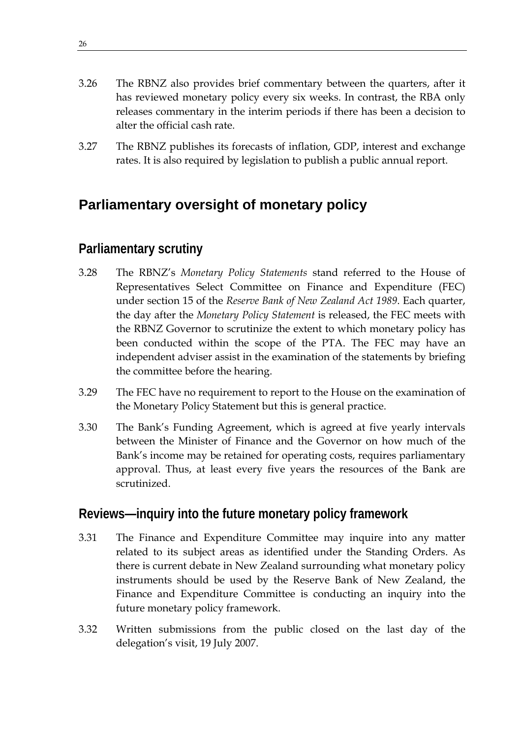- 3.26 The RBNZ also provides brief commentary between the quarters, after it has reviewed monetary policy every six weeks. In contrast, the RBA only releases commentary in the interim periods if there has been a decision to alter the official cash rate.
- 3.27 The RBNZ publishes its forecasts of inflation, GDP, interest and exchange rates. It is also required by legislation to publish a public annual report.

# **Parliamentary oversight of monetary policy**

# **Parliamentary scrutiny**

- 3.28 The RBNZ's *Monetary Policy Statements* stand referred to the House of Representatives Select Committee on Finance and Expenditure (FEC) under section 15 of the *Reserve Bank of New Zealand Act 1989*. Each quarter, the day after the *Monetary Policy Statement* is released, the FEC meets with the RBNZ Governor to scrutinize the extent to which monetary policy has been conducted within the scope of the PTA. The FEC may have an independent adviser assist in the examination of the statements by briefing the committee before the hearing.
- 3.29 The FEC have no requirement to report to the House on the examination of the Monetary Policy Statement but this is general practice.
- 3.30 The Bank's Funding Agreement, which is agreed at five yearly intervals between the Minister of Finance and the Governor on how much of the Bank's income may be retained for operating costs, requires parliamentary approval. Thus, at least every five years the resources of the Bank are scrutinized.

# **Reviews—inquiry into the future monetary policy framework**

- 3.31 The Finance and Expenditure Committee may inquire into any matter related to its subject areas as identified under the Standing Orders. As there is current debate in New Zealand surrounding what monetary policy instruments should be used by the Reserve Bank of New Zealand, the Finance and Expenditure Committee is conducting an inquiry into the future monetary policy framework.
- 3.32 Written submissions from the public closed on the last day of the delegation's visit, 19 July 2007.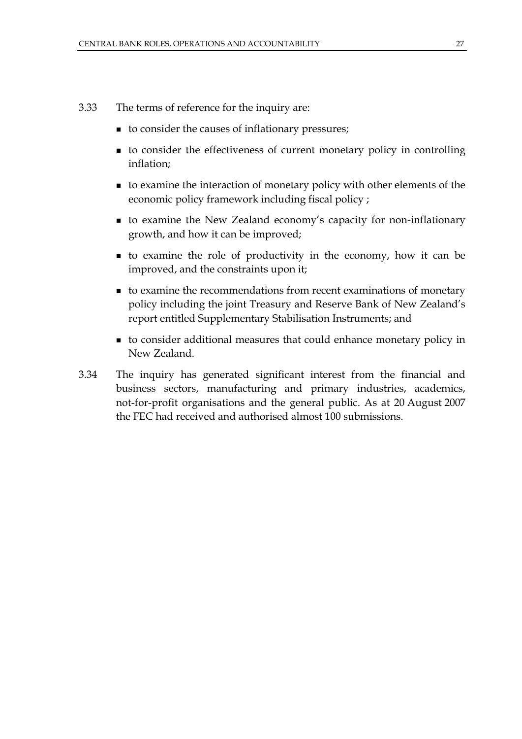- 3.33 The terms of reference for the inquiry are:
	- to consider the causes of inflationary pressures;
	- to consider the effectiveness of current monetary policy in controlling inflation;
	- to examine the interaction of monetary policy with other elements of the economic policy framework including fiscal policy ;
	- to examine the New Zealand economy's capacity for non-inflationary growth, and how it can be improved;
	- to examine the role of productivity in the economy, how it can be improved, and the constraints upon it;
	- to examine the recommendations from recent examinations of monetary policy including the joint Treasury and Reserve Bank of New Zealand's report entitled Supplementary Stabilisation Instruments; and
	- to consider additional measures that could enhance monetary policy in New Zealand.
- 3.34 The inquiry has generated significant interest from the financial and business sectors, manufacturing and primary industries, academics, not-for-profit organisations and the general public. As at 20 August 2007 the FEC had received and authorised almost 100 submissions.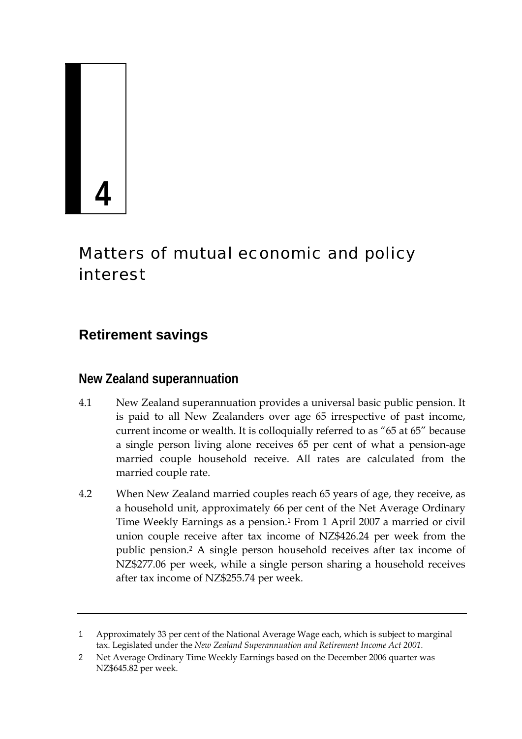

# Matters of mutual economic and policy interest

# **Retirement savings**

# **New Zealand superannuation**

- 4.1 New Zealand superannuation provides a universal basic public pension. It is paid to all New Zealanders over age 65 irrespective of past income, current income or wealth. It is colloquially referred to as "65 at 65" because a single person living alone receives 65 per cent of what a pension-age married couple household receive. All rates are calculated from the married couple rate.
- 4.2 When New Zealand married couples reach 65 years of age, they receive, as a household unit, approximately 66 per cent of the Net Average Ordinary Time Weekly Earnings as a pension.<sup>1</sup> From 1 April 2007 a married or civil union couple receive after tax income of NZ\$426.24 per week from the public pension.<sup>2</sup> A single person household receives after tax income of NZ\$277.06 per week, while a single person sharing a household receives after tax income of NZ\$255.74 per week.

<sup>1</sup> Approximately 33 per cent of the National Average Wage each, which is subject to marginal tax. Legislated under the *New Zealand Superannuation and Retirement Income Act 2001.*

<sup>2</sup> Net Average Ordinary Time Weekly Earnings based on the December 2006 quarter was NZ\$645.82 per week.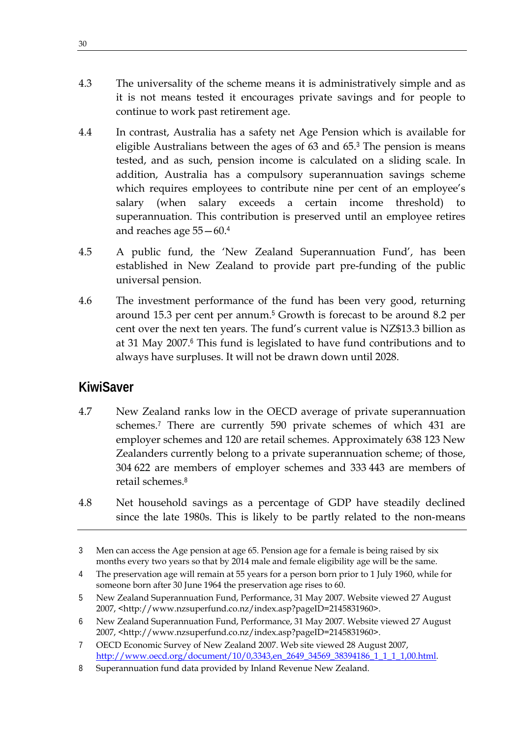- 4.3 The universality of the scheme means it is administratively simple and as it is not means tested it encourages private savings and for people to continue to work past retirement age.
- 4.4 In contrast, Australia has a safety net Age Pension which is available for eligible Australians between the ages of 63 and 65.<sup>3</sup> The pension is means tested, and as such, pension income is calculated on a sliding scale. In addition, Australia has a compulsory superannuation savings scheme which requires employees to contribute nine per cent of an employee's salary (when salary exceeds a certain income threshold) to superannuation. This contribution is preserved until an employee retires and reaches age 55—60.<sup>4</sup>
- 4.5 A public fund, the 'New Zealand Superannuation Fund', has been established in New Zealand to provide part pre-funding of the public universal pension.
- 4.6 The investment performance of the fund has been very good, returning around 15.3 per cent per annum.<sup>5</sup> Growth is forecast to be around 8.2 per cent over the next ten years. The fund's current value is NZ\$13.3 billion as at 31 May 2007.<sup>6</sup> This fund is legislated to have fund contributions and to always have surpluses. It will not be drawn down until 2028.

# **KiwiSaver**

- 4.7 New Zealand ranks low in the OECD average of private superannuation schemes.<sup>7</sup> There are currently 590 private schemes of which 431 are employer schemes and 120 are retail schemes. Approximately 638 123 New Zealanders currently belong to a private superannuation scheme; of those, 304 622 are members of employer schemes and 333 443 are members of retail schemes.<sup>8</sup>
- 4.8 Net household savings as a percentage of GDP have steadily declined since the late 1980s. This is likely to be partly related to the non-means

<sup>3</sup> Men can access the Age pension at age 65. Pension age for a female is being raised by six months every two years so that by 2014 male and female eligibility age will be the same.

<sup>4</sup> The preservation age will remain at 55 years for a person born prior to 1 July 1960, while for someone born after 30 June 1964 the preservation age rises to 60.

<sup>5</sup> New Zealand Superannuation Fund, Performance, 31 May 2007. Website viewed 27 August 2007, <http://www.nzsuperfund.co.nz/index.asp?pageID=2145831960>.

<sup>6</sup> New Zealand Superannuation Fund, Performance, 31 May 2007. Website viewed 27 August 2007, <http://www.nzsuperfund.co.nz/index.asp?pageID=2145831960>.

<sup>7</sup> OECD Economic Survey of New Zealand 2007. Web site viewed 28 August 2007, http://www.oecd.org/document/10/0,3343,en\_2649\_34569\_38394186\_1\_1\_1\_1,00.html.

<sup>8</sup> Superannuation fund data provided by Inland Revenue New Zealand.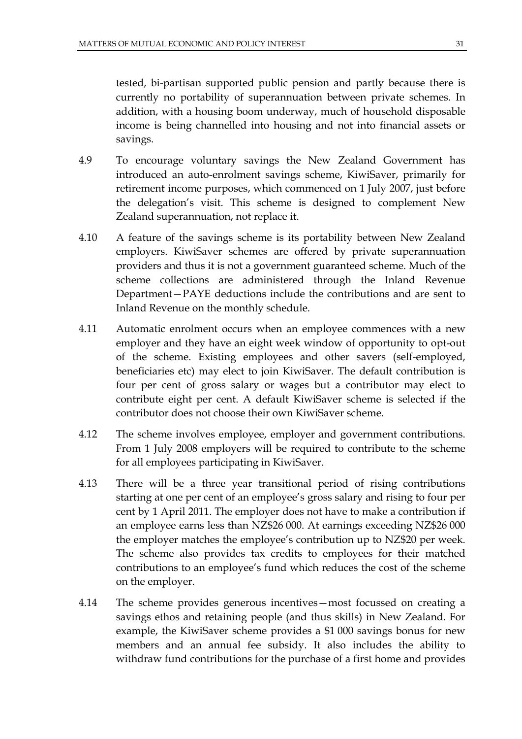tested, bi-partisan supported public pension and partly because there is currently no portability of superannuation between private schemes. In addition, with a housing boom underway, much of household disposable income is being channelled into housing and not into financial assets or savings.

- 4.9 To encourage voluntary savings the New Zealand Government has introduced an auto-enrolment savings scheme, KiwiSaver, primarily for retirement income purposes, which commenced on 1 July 2007, just before the delegation's visit. This scheme is designed to complement New Zealand superannuation, not replace it.
- 4.10 A feature of the savings scheme is its portability between New Zealand employers. KiwiSaver schemes are offered by private superannuation providers and thus it is not a government guaranteed scheme. Much of the scheme collections are administered through the Inland Revenue Department—PAYE deductions include the contributions and are sent to Inland Revenue on the monthly schedule.
- 4.11 Automatic enrolment occurs when an employee commences with a new employer and they have an eight week window of opportunity to opt-out of the scheme. Existing employees and other savers (self-employed, beneficiaries etc) may elect to join KiwiSaver. The default contribution is four per cent of gross salary or wages but a contributor may elect to contribute eight per cent. A default KiwiSaver scheme is selected if the contributor does not choose their own KiwiSaver scheme.
- 4.12 The scheme involves employee, employer and government contributions. From 1 July 2008 employers will be required to contribute to the scheme for all employees participating in KiwiSaver.
- 4.13 There will be a three year transitional period of rising contributions starting at one per cent of an employee's gross salary and rising to four per cent by 1 April 2011. The employer does not have to make a contribution if an employee earns less than NZ\$26 000. At earnings exceeding NZ\$26 000 the employer matches the employee's contribution up to NZ\$20 per week. The scheme also provides tax credits to employees for their matched contributions to an employee's fund which reduces the cost of the scheme on the employer.
- 4.14 The scheme provides generous incentives—most focussed on creating a savings ethos and retaining people (and thus skills) in New Zealand. For example, the KiwiSaver scheme provides a \$1 000 savings bonus for new members and an annual fee subsidy. It also includes the ability to withdraw fund contributions for the purchase of a first home and provides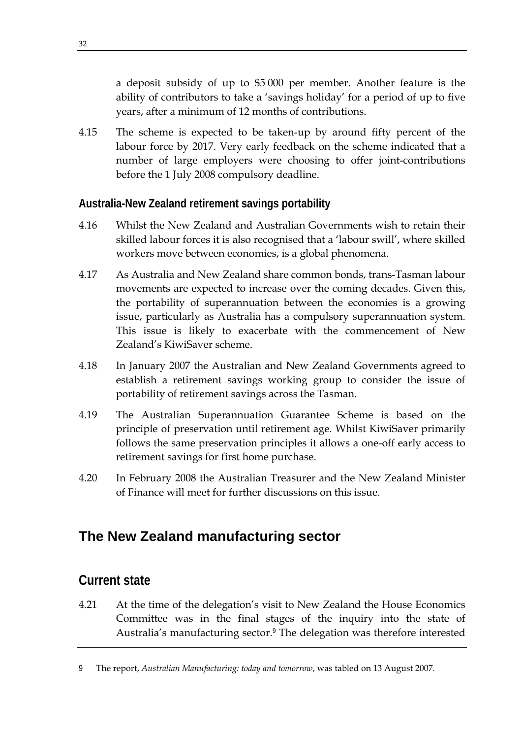a deposit subsidy of up to \$5 000 per member. Another feature is the ability of contributors to take a 'savings holiday' for a period of up to five years, after a minimum of 12 months of contributions.

4.15 The scheme is expected to be taken-up by around fifty percent of the labour force by 2017. Very early feedback on the scheme indicated that a number of large employers were choosing to offer joint-contributions before the 1 July 2008 compulsory deadline.

#### **Australia-New Zealand retirement savings portability**

- 4.16 Whilst the New Zealand and Australian Governments wish to retain their skilled labour forces it is also recognised that a 'labour swill', where skilled workers move between economies, is a global phenomena.
- 4.17 As Australia and New Zealand share common bonds, trans-Tasman labour movements are expected to increase over the coming decades. Given this, the portability of superannuation between the economies is a growing issue, particularly as Australia has a compulsory superannuation system. This issue is likely to exacerbate with the commencement of New Zealand's KiwiSaver scheme.
- 4.18 In January 2007 the Australian and New Zealand Governments agreed to establish a retirement savings working group to consider the issue of portability of retirement savings across the Tasman.
- 4.19 The Australian Superannuation Guarantee Scheme is based on the principle of preservation until retirement age. Whilst KiwiSaver primarily follows the same preservation principles it allows a one-off early access to retirement savings for first home purchase.
- 4.20 In February 2008 the Australian Treasurer and the New Zealand Minister of Finance will meet for further discussions on this issue.

# **The New Zealand manufacturing sector**

# **Current state**

4.21 At the time of the delegation's visit to New Zealand the House Economics Committee was in the final stages of the inquiry into the state of Australia's manufacturing sector.<sup>9</sup> The delegation was therefore interested

<sup>9</sup> The report, *Australian Manufacturing: today and tomorrow*, was tabled on 13 August 2007.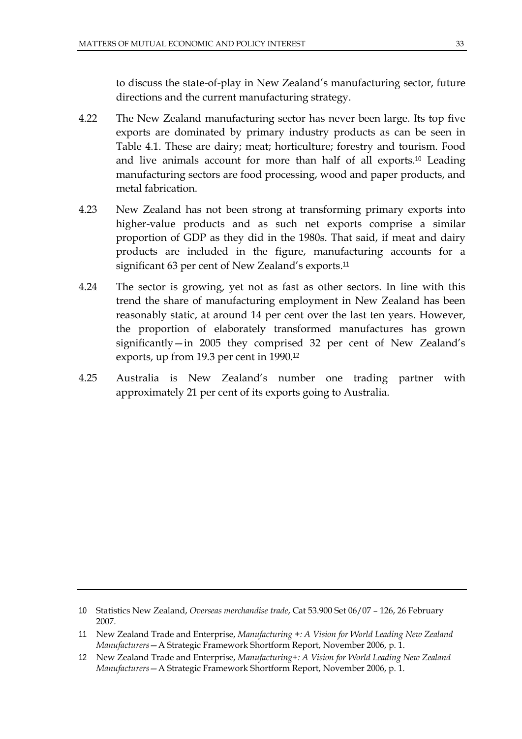to discuss the state-of-play in New Zealand's manufacturing sector, future directions and the current manufacturing strategy.

- 4.22 The New Zealand manufacturing sector has never been large. Its top five exports are dominated by primary industry products as can be seen in Table 4.1. These are dairy; meat; horticulture; forestry and tourism. Food and live animals account for more than half of all exports.<sup>10</sup> Leading manufacturing sectors are food processing, wood and paper products, and metal fabrication.
- 4.23 New Zealand has not been strong at transforming primary exports into higher-value products and as such net exports comprise a similar proportion of GDP as they did in the 1980s. That said, if meat and dairy products are included in the figure, manufacturing accounts for a significant 63 per cent of New Zealand's exports.<sup>11</sup>
- 4.24 The sector is growing, yet not as fast as other sectors. In line with this trend the share of manufacturing employment in New Zealand has been reasonably static, at around 14 per cent over the last ten years. However, the proportion of elaborately transformed manufactures has grown significantly—in 2005 they comprised 32 per cent of New Zealand's exports, up from 19.3 per cent in 1990.<sup>12</sup>
- 4.25 Australia is New Zealand's number one trading partner with approximately 21 per cent of its exports going to Australia.

<sup>10</sup> Statistics New Zealand, *Overseas merchandise trade*, Cat 53.900 Set 06/07 – 126, 26 February 2007.

<sup>11</sup> New Zealand Trade and Enterprise, *Manufacturing +: A Vision for World Leading New Zealand Manufacturers*—A Strategic Framework Shortform Report, November 2006, p. 1.

<sup>12</sup> New Zealand Trade and Enterprise, *Manufacturing+: A Vision for World Leading New Zealand Manufacturers*—A Strategic Framework Shortform Report, November 2006, p. 1.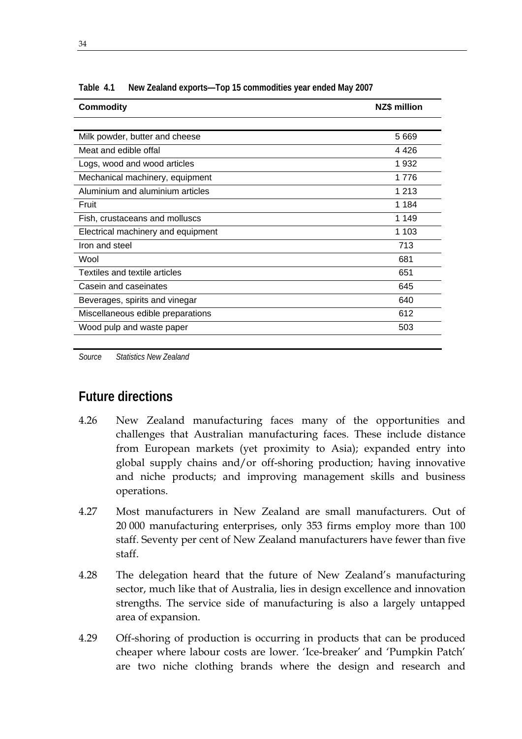| <b>Commodity</b>                     | <b>NZ\$ million</b> |
|--------------------------------------|---------------------|
|                                      |                     |
| Milk powder, butter and cheese       | 5 6 6 9             |
| Meat and edible offal                | 4 426               |
| Logs, wood and wood articles         | 1932                |
| Mechanical machinery, equipment      | 1776                |
| Aluminium and aluminium articles     | 1 2 1 3             |
| Fruit                                | 1 184               |
| Fish, crustaceans and molluscs       | 1 149               |
| Electrical machinery and equipment   | 1 1 0 3             |
| Iron and steel                       | 713                 |
| Wool                                 | 681                 |
| <b>Textiles and textile articles</b> | 651                 |
| Casein and caseinates                | 645                 |
| Beverages, spirits and vinegar       | 640                 |
| Miscellaneous edible preparations    | 612                 |
| Wood pulp and waste paper            | 503                 |
|                                      |                     |

**Table 4.1 New Zealand exports—Top 15 commodities year ended May 2007** 

*Source Statistics New Zealand* 

#### **Future directions**

- 4.26 New Zealand manufacturing faces many of the opportunities and challenges that Australian manufacturing faces. These include distance from European markets (yet proximity to Asia); expanded entry into global supply chains and/or off-shoring production; having innovative and niche products; and improving management skills and business operations.
- 4.27 Most manufacturers in New Zealand are small manufacturers. Out of 20 000 manufacturing enterprises, only 353 firms employ more than 100 staff. Seventy per cent of New Zealand manufacturers have fewer than five staff.
- 4.28 The delegation heard that the future of New Zealand's manufacturing sector, much like that of Australia, lies in design excellence and innovation strengths. The service side of manufacturing is also a largely untapped area of expansion.
- 4.29 Off-shoring of production is occurring in products that can be produced cheaper where labour costs are lower. 'Ice-breaker' and 'Pumpkin Patch' are two niche clothing brands where the design and research and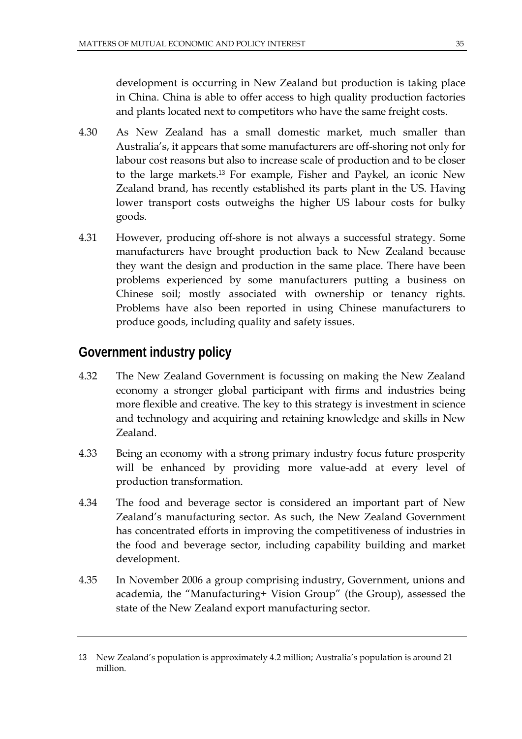development is occurring in New Zealand but production is taking place in China. China is able to offer access to high quality production factories and plants located next to competitors who have the same freight costs.

- 4.30 As New Zealand has a small domestic market, much smaller than Australia's, it appears that some manufacturers are off-shoring not only for labour cost reasons but also to increase scale of production and to be closer to the large markets.<sup>13</sup> For example, Fisher and Paykel, an iconic New Zealand brand, has recently established its parts plant in the US. Having lower transport costs outweighs the higher US labour costs for bulky goods.
- 4.31 However, producing off-shore is not always a successful strategy. Some manufacturers have brought production back to New Zealand because they want the design and production in the same place. There have been problems experienced by some manufacturers putting a business on Chinese soil; mostly associated with ownership or tenancy rights. Problems have also been reported in using Chinese manufacturers to produce goods, including quality and safety issues.

# **Government industry policy**

- 4.32 The New Zealand Government is focussing on making the New Zealand economy a stronger global participant with firms and industries being more flexible and creative. The key to this strategy is investment in science and technology and acquiring and retaining knowledge and skills in New Zealand.
- 4.33 Being an economy with a strong primary industry focus future prosperity will be enhanced by providing more value-add at every level of production transformation.
- 4.34 The food and beverage sector is considered an important part of New Zealand's manufacturing sector. As such, the New Zealand Government has concentrated efforts in improving the competitiveness of industries in the food and beverage sector, including capability building and market development.
- 4.35 In November 2006 a group comprising industry, Government, unions and academia, the "Manufacturing+ Vision Group" (the Group), assessed the state of the New Zealand export manufacturing sector.

<sup>13</sup> New Zealand's population is approximately 4.2 million; Australia's population is around 21 million.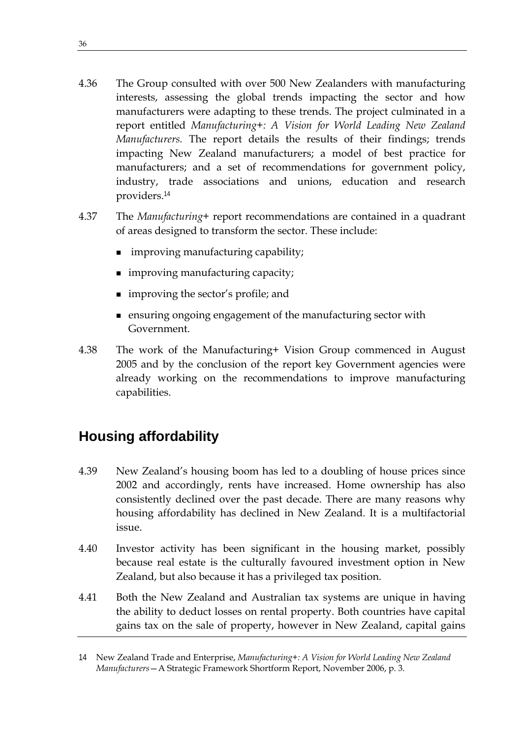- 4.36 The Group consulted with over 500 New Zealanders with manufacturing interests, assessing the global trends impacting the sector and how manufacturers were adapting to these trends. The project culminated in a report entitled *Manufacturing+: A Vision for World Leading New Zealand Manufacturers.* The report details the results of their findings; trends impacting New Zealand manufacturers; a model of best practice for manufacturers; and a set of recommendations for government policy, industry, trade associations and unions, education and research providers.<sup>14</sup>
- 4.37 The *Manufacturing+* report recommendations are contained in a quadrant of areas designed to transform the sector. These include:
	- improving manufacturing capability;
	- **improving manufacturing capacity;**
	- improving the sector's profile; and
	- ensuring ongoing engagement of the manufacturing sector with Government.
- 4.38 The work of the Manufacturing+ Vision Group commenced in August 2005 and by the conclusion of the report key Government agencies were already working on the recommendations to improve manufacturing capabilities.

# **Housing affordability**

- 4.39 New Zealand's housing boom has led to a doubling of house prices since 2002 and accordingly, rents have increased. Home ownership has also consistently declined over the past decade. There are many reasons why housing affordability has declined in New Zealand. It is a multifactorial issue.
- 4.40 Investor activity has been significant in the housing market, possibly because real estate is the culturally favoured investment option in New Zealand, but also because it has a privileged tax position.
- 4.41 Both the New Zealand and Australian tax systems are unique in having the ability to deduct losses on rental property. Both countries have capital gains tax on the sale of property, however in New Zealand, capital gains

<sup>14</sup> New Zealand Trade and Enterprise, *Manufacturing+: A Vision for World Leading New Zealand Manufacturers*—A Strategic Framework Shortform Report, November 2006, p. 3.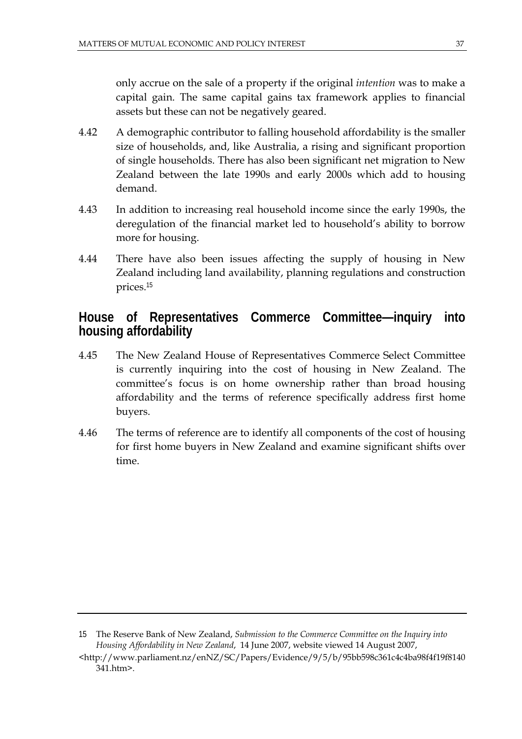only accrue on the sale of a property if the original *intention* was to make a capital gain. The same capital gains tax framework applies to financial assets but these can not be negatively geared.

- 4.42 A demographic contributor to falling household affordability is the smaller size of households, and, like Australia, a rising and significant proportion of single households. There has also been significant net migration to New Zealand between the late 1990s and early 2000s which add to housing demand.
- 4.43 In addition to increasing real household income since the early 1990s, the deregulation of the financial market led to household's ability to borrow more for housing.
- 4.44 There have also been issues affecting the supply of housing in New Zealand including land availability, planning regulations and construction prices.<sup>15</sup>

# **House of Representatives Commerce Committee—inquiry into housing affordability**

- 4.45 The New Zealand House of Representatives Commerce Select Committee is currently inquiring into the cost of housing in New Zealand. The committee's focus is on home ownership rather than broad housing affordability and the terms of reference specifically address first home buyers.
- 4.46 The terms of reference are to identify all components of the cost of housing for first home buyers in New Zealand and examine significant shifts over time.

<sup>15</sup> The Reserve Bank of New Zealand, *Submission to the Commerce Committee on the Inquiry into Housing Affordability in New Zealand*, 14 June 2007, website viewed 14 August 2007,

<sup>&</sup>lt;http://www.parliament.nz/enNZ/SC/Papers/Evidence/9/5/b/95bb598c361c4c4ba98f4f19f8140 341.htm>.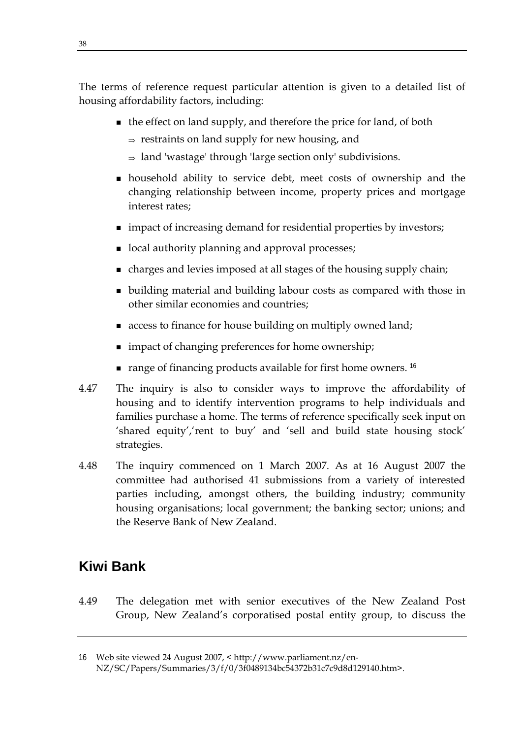The terms of reference request particular attention is given to a detailed list of housing affordability factors, including:

- $\blacksquare$  the effect on land supply, and therefore the price for land, of both
	- $\Rightarrow$  restraints on land supply for new housing, and
	- <sup>⇒</sup> land 'wastage' through 'large section only' subdivisions.
- household ability to service debt, meet costs of ownership and the changing relationship between income, property prices and mortgage interest rates;
- impact of increasing demand for residential properties by investors;
- local authority planning and approval processes;
- charges and levies imposed at all stages of the housing supply chain;
- building material and building labour costs as compared with those in other similar economies and countries;
- access to finance for house building on multiply owned land;
- impact of changing preferences for home ownership;
- $\blacksquare$  range of financing products available for first home owners. <sup>16</sup>
- 4.47 The inquiry is also to consider ways to improve the affordability of housing and to identify intervention programs to help individuals and families purchase a home. The terms of reference specifically seek input on 'shared equity','rent to buy' and 'sell and build state housing stock' strategies.
- 4.48 The inquiry commenced on 1 March 2007. As at 16 August 2007 the committee had authorised 41 submissions from a variety of interested parties including, amongst others, the building industry; community housing organisations; local government; the banking sector; unions; and the Reserve Bank of New Zealand.

# **Kiwi Bank**

4.49 The delegation met with senior executives of the New Zealand Post Group, New Zealand's corporatised postal entity group, to discuss the

<sup>16</sup> Web site viewed 24 August 2007, < http://www.parliament.nz/en-NZ/SC/Papers/Summaries/3/f/0/3f0489134bc54372b31c7c9d8d129140.htm>.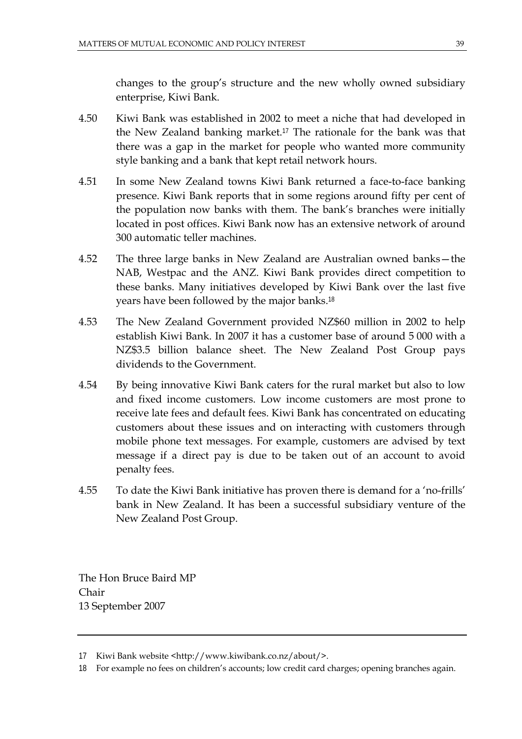changes to the group's structure and the new wholly owned subsidiary enterprise, Kiwi Bank.

- 4.50 Kiwi Bank was established in 2002 to meet a niche that had developed in the New Zealand banking market.<sup>17</sup> The rationale for the bank was that there was a gap in the market for people who wanted more community style banking and a bank that kept retail network hours.
- 4.51 In some New Zealand towns Kiwi Bank returned a face-to-face banking presence. Kiwi Bank reports that in some regions around fifty per cent of the population now banks with them. The bank's branches were initially located in post offices. Kiwi Bank now has an extensive network of around 300 automatic teller machines.
- 4.52 The three large banks in New Zealand are Australian owned banks—the NAB, Westpac and the ANZ. Kiwi Bank provides direct competition to these banks. Many initiatives developed by Kiwi Bank over the last five years have been followed by the major banks.<sup>18</sup>
- 4.53 The New Zealand Government provided NZ\$60 million in 2002 to help establish Kiwi Bank. In 2007 it has a customer base of around 5 000 with a NZ\$3.5 billion balance sheet. The New Zealand Post Group pays dividends to the Government.
- 4.54 By being innovative Kiwi Bank caters for the rural market but also to low and fixed income customers. Low income customers are most prone to receive late fees and default fees. Kiwi Bank has concentrated on educating customers about these issues and on interacting with customers through mobile phone text messages. For example, customers are advised by text message if a direct pay is due to be taken out of an account to avoid penalty fees.
- 4.55 To date the Kiwi Bank initiative has proven there is demand for a 'no-frills' bank in New Zealand. It has been a successful subsidiary venture of the New Zealand Post Group.

The Hon Bruce Baird MP Chair 13 September 2007

<sup>17</sup> Kiwi Bank website <http://www.kiwibank.co.nz/about/>.

<sup>18</sup> For example no fees on children's accounts; low credit card charges; opening branches again.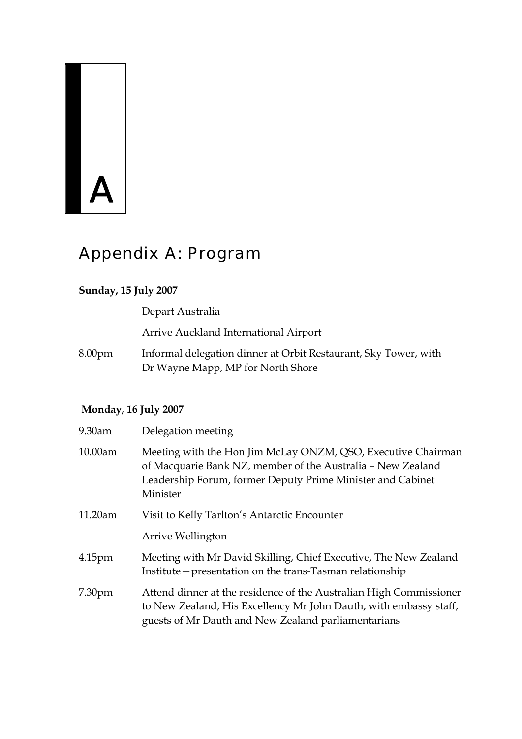# $\mathbf{A}$

# Appendix A: Program

#### **Sunday, 15 July 2007**

Depart Australia

Arrive Auckland International Airport

8.00pm Informal delegation dinner at Orbit Restaurant, Sky Tower, with Dr Wayne Mapp, MP for North Shore

#### **Monday, 16 July 2007**

| 9.30am             | Delegation meeting                                                                                                                                                                                    |
|--------------------|-------------------------------------------------------------------------------------------------------------------------------------------------------------------------------------------------------|
| 10.00am            | Meeting with the Hon Jim McLay ONZM, QSO, Executive Chairman<br>of Macquarie Bank NZ, member of the Australia - New Zealand<br>Leadership Forum, former Deputy Prime Minister and Cabinet<br>Minister |
| 11.20am            | Visit to Kelly Tarlton's Antarctic Encounter                                                                                                                                                          |
|                    | Arrive Wellington                                                                                                                                                                                     |
| 4.15 <sub>pm</sub> | Meeting with Mr David Skilling, Chief Executive, The New Zealand<br>Institute – presentation on the trans-Tasman relationship                                                                         |
| 7.30 <sub>pm</sub> | Attend dinner at the residence of the Australian High Commissioner<br>to New Zealand, His Excellency Mr John Dauth, with embassy staff,<br>guests of Mr Dauth and New Zealand parliamentarians        |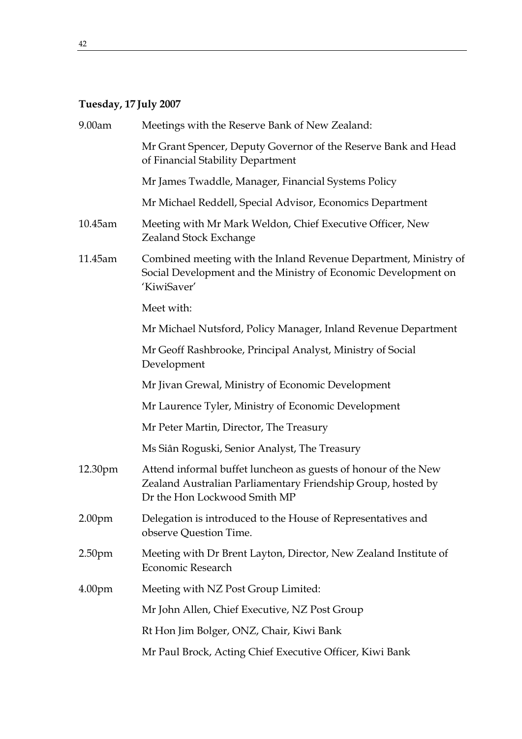# **Tuesday, 17 July 2007**

| 9.00am             | Meetings with the Reserve Bank of New Zealand:                                                                                                                 |
|--------------------|----------------------------------------------------------------------------------------------------------------------------------------------------------------|
|                    | Mr Grant Spencer, Deputy Governor of the Reserve Bank and Head<br>of Financial Stability Department                                                            |
|                    | Mr James Twaddle, Manager, Financial Systems Policy                                                                                                            |
|                    | Mr Michael Reddell, Special Advisor, Economics Department                                                                                                      |
| 10.45am            | Meeting with Mr Mark Weldon, Chief Executive Officer, New<br>Zealand Stock Exchange                                                                            |
| 11.45am            | Combined meeting with the Inland Revenue Department, Ministry of<br>Social Development and the Ministry of Economic Development on<br>'KiwiSaver'              |
|                    | Meet with:                                                                                                                                                     |
|                    | Mr Michael Nutsford, Policy Manager, Inland Revenue Department                                                                                                 |
|                    | Mr Geoff Rashbrooke, Principal Analyst, Ministry of Social<br>Development                                                                                      |
|                    | Mr Jivan Grewal, Ministry of Economic Development                                                                                                              |
|                    | Mr Laurence Tyler, Ministry of Economic Development                                                                                                            |
|                    | Mr Peter Martin, Director, The Treasury                                                                                                                        |
|                    | Ms Siân Roguski, Senior Analyst, The Treasury                                                                                                                  |
| 12.30pm            | Attend informal buffet luncheon as guests of honour of the New<br>Zealand Australian Parliamentary Friendship Group, hosted by<br>Dr the Hon Lockwood Smith MP |
| 2.00 <sub>pm</sub> | Delegation is introduced to the House of Representatives and<br>observe Question Time.                                                                         |
| 2.50 <sub>pm</sub> | Meeting with Dr Brent Layton, Director, New Zealand Institute of<br>Economic Research                                                                          |
| 4.00 <sub>pm</sub> | Meeting with NZ Post Group Limited:                                                                                                                            |
|                    | Mr John Allen, Chief Executive, NZ Post Group                                                                                                                  |
|                    | Rt Hon Jim Bolger, ONZ, Chair, Kiwi Bank                                                                                                                       |
|                    | Mr Paul Brock, Acting Chief Executive Officer, Kiwi Bank                                                                                                       |